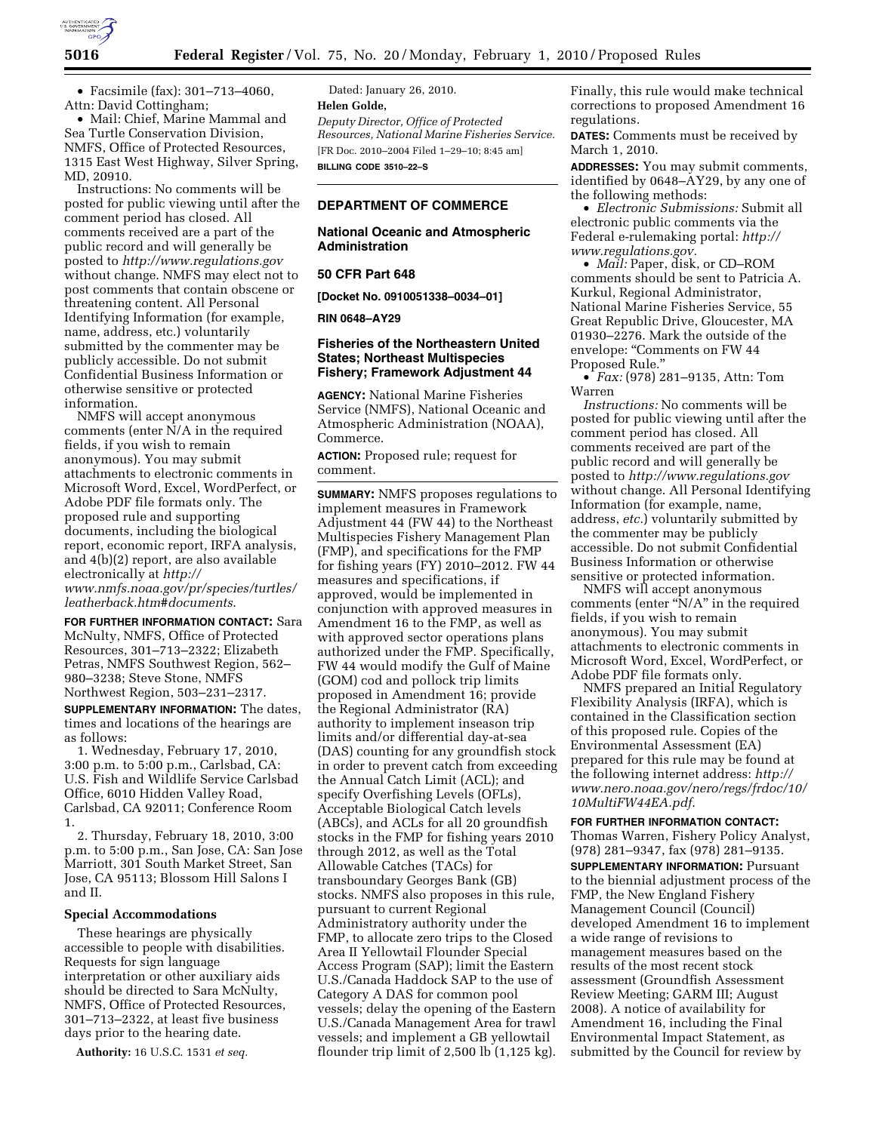

• Facsimile (fax): 301–713–4060, Attn: David Cottingham;

• Mail: Chief, Marine Mammal and Sea Turtle Conservation Division, NMFS, Office of Protected Resources, 1315 East West Highway, Silver Spring, MD, 20910.

Instructions: No comments will be posted for public viewing until after the comment period has closed. All comments received are a part of the public record and will generally be posted to *http://www.regulations.gov*  without change. NMFS may elect not to post comments that contain obscene or threatening content. All Personal Identifying Information (for example, name, address, etc.) voluntarily submitted by the commenter may be publicly accessible. Do not submit Confidential Business Information or otherwise sensitive or protected information.

NMFS will accept anonymous comments (enter N/A in the required fields, if you wish to remain anonymous). You may submit attachments to electronic comments in Microsoft Word, Excel, WordPerfect, or Adobe PDF file formats only. The proposed rule and supporting documents, including the biological report, economic report, IRFA analysis, and 4(b)(2) report, are also available electronically at *http://* 

*www.nmfs.noaa.gov/pr/species/turtles/ leatherback.htm*#*documents*.

**FOR FURTHER INFORMATION CONTACT:** Sara McNulty, NMFS, Office of Protected Resources, 301–713–2322; Elizabeth Petras, NMFS Southwest Region, 562– 980–3238; Steve Stone, NMFS Northwest Region, 503–231–2317.

**SUPPLEMENTARY INFORMATION:** The dates, times and locations of the hearings are as follows:

1. Wednesday, February 17, 2010, 3:00 p.m. to 5:00 p.m., Carlsbad, CA: U.S. Fish and Wildlife Service Carlsbad Office, 6010 Hidden Valley Road, Carlsbad, CA 92011; Conference Room 1.

2. Thursday, February 18, 2010, 3:00 p.m. to 5:00 p.m., San Jose, CA: San Jose Marriott, 301 South Market Street, San Jose, CA 95113; Blossom Hill Salons I and II.

#### **Special Accommodations**

These hearings are physically accessible to people with disabilities. Requests for sign language interpretation or other auxiliary aids should be directed to Sara McNulty, NMFS, Office of Protected Resources, 301–713–2322, at least five business days prior to the hearing date.

**Authority:** 16 U.S.C. 1531 *et seq.* 

Dated: January 26, 2010. **Helen Golde,**  *Deputy Director, Office of Protected Resources, National Marine Fisheries Service.*  [FR Doc. 2010–2004 Filed 1–29–10; 8:45 am] **BILLING CODE 3510–22–S** 

#### **DEPARTMENT OF COMMERCE**

### **National Oceanic and Atmospheric Administration**

#### **50 CFR Part 648**

**[Docket No. 0910051338–0034–01]** 

### **RIN 0648–AY29**

## **Fisheries of the Northeastern United States; Northeast Multispecies Fishery; Framework Adjustment 44**

**AGENCY:** National Marine Fisheries Service (NMFS), National Oceanic and Atmospheric Administration (NOAA), Commerce.

**ACTION:** Proposed rule; request for comment.

**SUMMARY:** NMFS proposes regulations to implement measures in Framework Adjustment 44 (FW 44) to the Northeast Multispecies Fishery Management Plan (FMP), and specifications for the FMP for fishing years (FY) 2010–2012. FW 44 measures and specifications, if approved, would be implemented in conjunction with approved measures in Amendment 16 to the FMP, as well as with approved sector operations plans authorized under the FMP. Specifically, FW 44 would modify the Gulf of Maine (GOM) cod and pollock trip limits proposed in Amendment 16; provide the Regional Administrator (RA) authority to implement inseason trip limits and/or differential day-at-sea (DAS) counting for any groundfish stock in order to prevent catch from exceeding the Annual Catch Limit (ACL); and specify Overfishing Levels (OFLs), Acceptable Biological Catch levels (ABCs), and ACLs for all 20 groundfish stocks in the FMP for fishing years 2010 through 2012, as well as the Total Allowable Catches (TACs) for transboundary Georges Bank (GB) stocks. NMFS also proposes in this rule, pursuant to current Regional Administratory authority under the FMP, to allocate zero trips to the Closed Area II Yellowtail Flounder Special Access Program (SAP); limit the Eastern U.S./Canada Haddock SAP to the use of Category A DAS for common pool vessels; delay the opening of the Eastern U.S./Canada Management Area for trawl vessels; and implement a GB yellowtail flounder trip limit of 2,500 lb (1,125 kg).

Finally, this rule would make technical corrections to proposed Amendment 16 regulations.

**DATES:** Comments must be received by March 1, 2010.

**ADDRESSES:** You may submit comments, identified by 0648–AY29, by any one of the following methods:

• *Electronic Submissions:* Submit all electronic public comments via the Federal e-rulemaking portal: *http:// www.regulations.gov.* 

• *Mail:* Paper, disk, or CD–ROM comments should be sent to Patricia A. Kurkul, Regional Administrator, National Marine Fisheries Service, 55 Great Republic Drive, Gloucester, MA 01930–2276. Mark the outside of the envelope: "Comments on FW 44 Proposed Rule.''

• *Fax:* (978) 281–9135, Attn: Tom Warren

*Instructions:* No comments will be posted for public viewing until after the comment period has closed. All comments received are part of the public record and will generally be posted to *http://www.regulations.gov*  without change. All Personal Identifying Information (for example, name, address, *etc.*) voluntarily submitted by the commenter may be publicly accessible. Do not submit Confidential Business Information or otherwise sensitive or protected information.

NMFS will accept anonymous comments (enter "N/A" in the required fields, if you wish to remain anonymous). You may submit attachments to electronic comments in Microsoft Word, Excel, WordPerfect, or Adobe PDF file formats only.

NMFS prepared an Initial Regulatory Flexibility Analysis (IRFA), which is contained in the Classification section of this proposed rule. Copies of the Environmental Assessment (EA) prepared for this rule may be found at the following internet address: *http:// www.nero.noaa.gov/nero/regs/frdoc/10/ 10MultiFW44EA.pdf*.

**FOR FURTHER INFORMATION CONTACT:**  Thomas Warren, Fishery Policy Analyst, (978) 281–9347, fax (978) 281–9135. **SUPPLEMENTARY INFORMATION:** Pursuant to the biennial adjustment process of the FMP, the New England Fishery Management Council (Council) developed Amendment 16 to implement a wide range of revisions to management measures based on the results of the most recent stock assessment (Groundfish Assessment Review Meeting; GARM III; August 2008). A notice of availability for Amendment 16, including the Final Environmental Impact Statement, as submitted by the Council for review by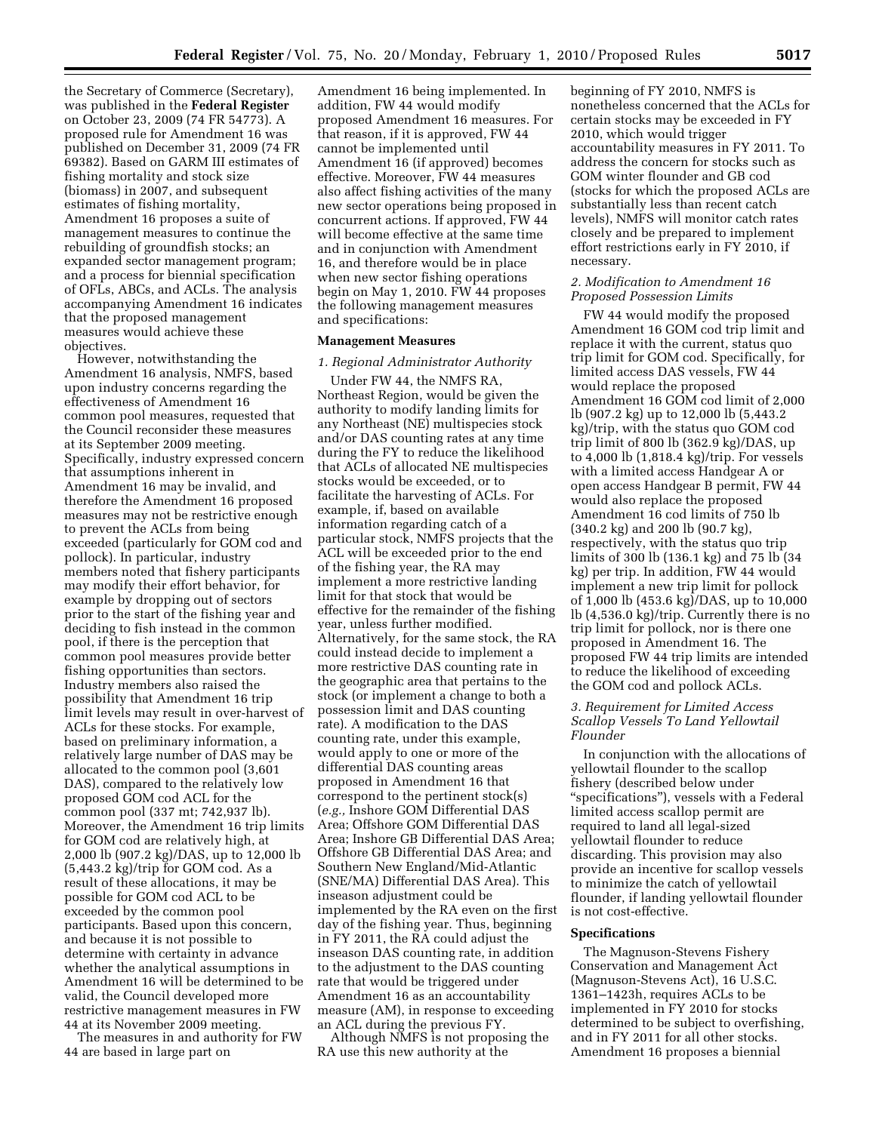the Secretary of Commerce (Secretary), was published in the **Federal Register**  on October 23, 2009 (74 FR 54773). A proposed rule for Amendment 16 was published on December 31, 2009 (74 FR 69382). Based on GARM III estimates of fishing mortality and stock size (biomass) in 2007, and subsequent estimates of fishing mortality, Amendment 16 proposes a suite of management measures to continue the rebuilding of groundfish stocks; an expanded sector management program; and a process for biennial specification of OFLs, ABCs, and ACLs. The analysis accompanying Amendment 16 indicates that the proposed management measures would achieve these objectives.

However, notwithstanding the Amendment 16 analysis, NMFS, based upon industry concerns regarding the effectiveness of Amendment 16 common pool measures, requested that the Council reconsider these measures at its September 2009 meeting. Specifically, industry expressed concern that assumptions inherent in Amendment 16 may be invalid, and therefore the Amendment 16 proposed measures may not be restrictive enough to prevent the ACLs from being exceeded (particularly for GOM cod and pollock). In particular, industry members noted that fishery participants may modify their effort behavior, for example by dropping out of sectors prior to the start of the fishing year and deciding to fish instead in the common pool, if there is the perception that common pool measures provide better fishing opportunities than sectors. Industry members also raised the possibility that Amendment 16 trip limit levels may result in over-harvest of ACLs for these stocks. For example, based on preliminary information, a relatively large number of DAS may be allocated to the common pool (3,601 DAS), compared to the relatively low proposed GOM cod ACL for the common pool (337 mt; 742,937 lb). Moreover, the Amendment 16 trip limits for GOM cod are relatively high, at 2,000 lb (907.2 kg)/DAS, up to 12,000 lb  $(5,443.2 \text{ kg})/\text{trip}$  for GOM cod. As a result of these allocations, it may be possible for GOM cod ACL to be exceeded by the common pool participants. Based upon this concern, and because it is not possible to determine with certainty in advance whether the analytical assumptions in Amendment 16 will be determined to be valid, the Council developed more restrictive management measures in FW 44 at its November 2009 meeting.

The measures in and authority for FW 44 are based in large part on

Amendment 16 being implemented. In addition, FW 44 would modify proposed Amendment 16 measures. For that reason, if it is approved, FW 44 cannot be implemented until Amendment 16 (if approved) becomes effective. Moreover, FW 44 measures also affect fishing activities of the many new sector operations being proposed in concurrent actions. If approved, FW 44 will become effective at the same time and in conjunction with Amendment 16, and therefore would be in place when new sector fishing operations begin on May 1, 2010. FW 44 proposes the following management measures and specifications:

#### **Management Measures**

#### *1. Regional Administrator Authority*

Under FW 44, the NMFS RA, Northeast Region, would be given the authority to modify landing limits for any Northeast (NE) multispecies stock and/or DAS counting rates at any time during the FY to reduce the likelihood that ACLs of allocated NE multispecies stocks would be exceeded, or to facilitate the harvesting of ACLs. For example, if, based on available information regarding catch of a particular stock, NMFS projects that the ACL will be exceeded prior to the end of the fishing year, the RA may implement a more restrictive landing limit for that stock that would be effective for the remainder of the fishing year, unless further modified. Alternatively, for the same stock, the RA could instead decide to implement a more restrictive DAS counting rate in the geographic area that pertains to the stock (or implement a change to both a possession limit and DAS counting rate). A modification to the DAS counting rate, under this example, would apply to one or more of the differential DAS counting areas proposed in Amendment 16 that correspond to the pertinent stock(s) (*e.g.,* Inshore GOM Differential DAS Area; Offshore GOM Differential DAS Area; Inshore GB Differential DAS Area; Offshore GB Differential DAS Area; and Southern New England/Mid-Atlantic (SNE/MA) Differential DAS Area). This inseason adjustment could be implemented by the RA even on the first day of the fishing year. Thus, beginning in FY 2011, the RA could adjust the inseason DAS counting rate, in addition to the adjustment to the DAS counting rate that would be triggered under Amendment 16 as an accountability measure (AM), in response to exceeding an ACL during the previous FY.

Although NMFS is not proposing the RA use this new authority at the

beginning of FY 2010, NMFS is nonetheless concerned that the ACLs for certain stocks may be exceeded in FY 2010, which would trigger accountability measures in FY 2011. To address the concern for stocks such as GOM winter flounder and GB cod (stocks for which the proposed ACLs are substantially less than recent catch levels), NMFS will monitor catch rates closely and be prepared to implement effort restrictions early in FY 2010, if necessary.

## *2. Modification to Amendment 16 Proposed Possession Limits*

FW 44 would modify the proposed Amendment 16 GOM cod trip limit and replace it with the current, status quo trip limit for GOM cod. Specifically, for limited access DAS vessels, FW 44 would replace the proposed Amendment 16 GOM cod limit of 2,000 lb (907.2 kg) up to 12,000 lb (5,443.2 kg)/trip, with the status quo GOM cod trip limit of 800 lb (362.9 kg)/DAS, up to 4,000 lb (1,818.4 kg)/trip. For vessels with a limited access Handgear A or open access Handgear B permit, FW 44 would also replace the proposed Amendment 16 cod limits of 750 lb (340.2 kg) and 200 lb (90.7 kg), respectively, with the status quo trip limits of 300 lb (136.1 kg) and 75 lb (34 kg) per trip. In addition, FW 44 would implement a new trip limit for pollock of 1,000 lb (453.6 kg)/DAS, up to 10,000 lb (4,536.0 kg)/trip. Currently there is no trip limit for pollock, nor is there one proposed in Amendment 16. The proposed FW 44 trip limits are intended to reduce the likelihood of exceeding the GOM cod and pollock ACLs.

#### *3. Requirement for Limited Access Scallop Vessels To Land Yellowtail Flounder*

In conjunction with the allocations of yellowtail flounder to the scallop fishery (described below under ''specifications''), vessels with a Federal limited access scallop permit are required to land all legal-sized yellowtail flounder to reduce discarding. This provision may also provide an incentive for scallop vessels to minimize the catch of yellowtail flounder, if landing yellowtail flounder is not cost-effective.

#### **Specifications**

The Magnuson-Stevens Fishery Conservation and Management Act (Magnuson-Stevens Act), 16 U.S.C. 1361–1423h, requires ACLs to be implemented in FY 2010 for stocks determined to be subject to overfishing, and in FY 2011 for all other stocks. Amendment 16 proposes a biennial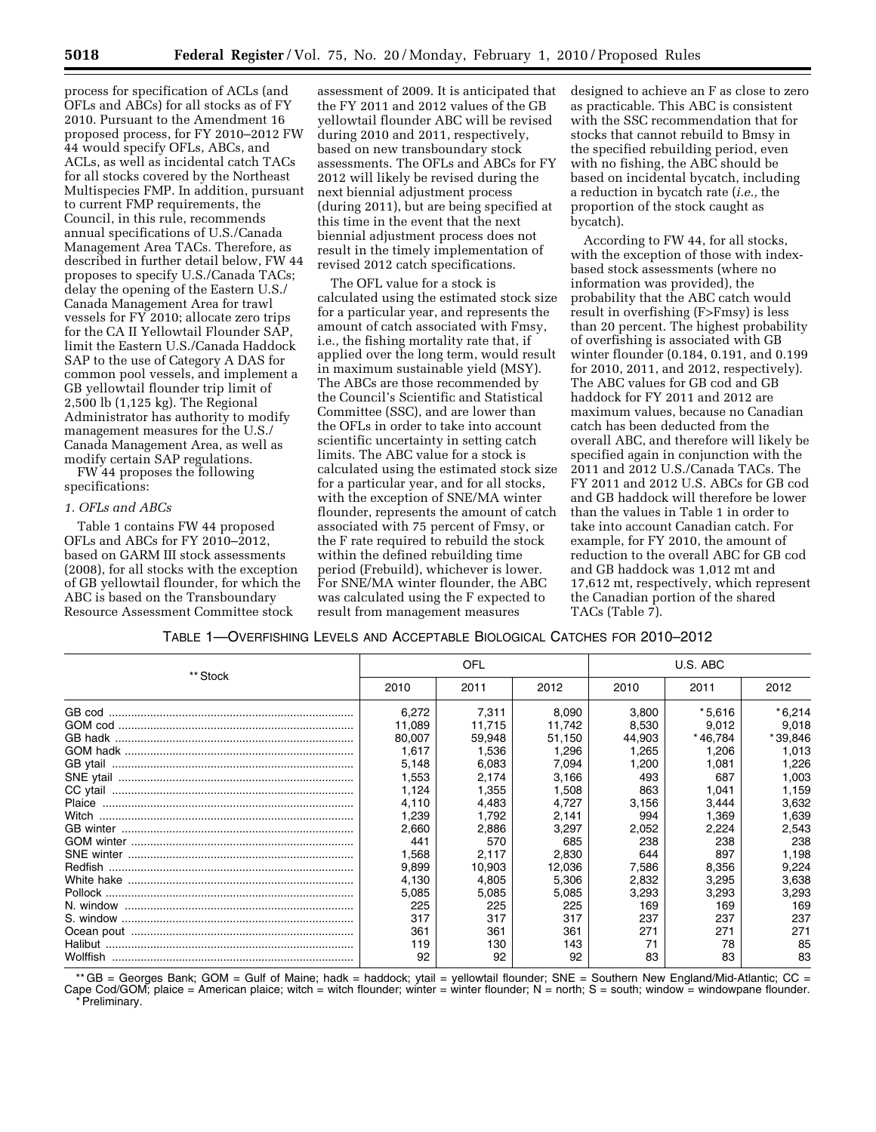process for specification of ACLs (and OFLs and ABCs) for all stocks as of FY 2010. Pursuant to the Amendment 16 proposed process, for FY 2010–2012 FW 44 would specify OFLs, ABCs, and ACLs, as well as incidental catch TACs for all stocks covered by the Northeast Multispecies FMP. In addition, pursuant to current FMP requirements, the Council, in this rule, recommends annual specifications of U.S./Canada Management Area TACs. Therefore, as described in further detail below, FW 44 proposes to specify U.S./Canada TACs; delay the opening of the Eastern U.S./ Canada Management Area for trawl vessels for FY 2010; allocate zero trips for the CA II Yellowtail Flounder SAP, limit the Eastern U.S./Canada Haddock SAP to the use of Category A DAS for common pool vessels, and implement a GB yellowtail flounder trip limit of 2,500 lb (1,125 kg). The Regional Administrator has authority to modify management measures for the U.S./ Canada Management Area, as well as modify certain SAP regulations.

FW 44 proposes the following specifications:

#### *1. OFLs and ABCs*

Table 1 contains FW 44 proposed OFLs and ABCs for FY 2010–2012, based on GARM III stock assessments (2008), for all stocks with the exception of GB yellowtail flounder, for which the ABC is based on the Transboundary Resource Assessment Committee stock

assessment of 2009. It is anticipated that the FY 2011 and 2012 values of the GB yellowtail flounder ABC will be revised during 2010 and 2011, respectively, based on new transboundary stock assessments. The OFLs and ABCs for FY 2012 will likely be revised during the next biennial adjustment process (during 2011), but are being specified at this time in the event that the next biennial adjustment process does not result in the timely implementation of revised 2012 catch specifications.

The OFL value for a stock is calculated using the estimated stock size for a particular year, and represents the amount of catch associated with Fmsy, i.e., the fishing mortality rate that, if applied over the long term, would result in maximum sustainable yield (MSY). The ABCs are those recommended by the Council's Scientific and Statistical Committee (SSC), and are lower than the OFLs in order to take into account scientific uncertainty in setting catch limits. The ABC value for a stock is calculated using the estimated stock size for a particular year, and for all stocks, with the exception of SNE/MA winter flounder, represents the amount of catch associated with 75 percent of Fmsy, or the F rate required to rebuild the stock within the defined rebuilding time period (Frebuild), whichever is lower. For SNE/MA winter flounder, the ABC was calculated using the F expected to result from management measures

designed to achieve an F as close to zero as practicable. This ABC is consistent with the SSC recommendation that for stocks that cannot rebuild to Bmsy in the specified rebuilding period, even with no fishing, the ABC should be based on incidental bycatch, including a reduction in bycatch rate (*i.e.,* the proportion of the stock caught as bycatch).

According to FW 44, for all stocks, with the exception of those with indexbased stock assessments (where no information was provided), the probability that the ABC catch would result in overfishing (F>Fmsy) is less than 20 percent. The highest probability of overfishing is associated with GB winter flounder (0.184, 0.191, and 0.199 for 2010, 2011, and 2012, respectively). The ABC values for GB cod and GB haddock for FY 2011 and 2012 are maximum values, because no Canadian catch has been deducted from the overall ABC, and therefore will likely be specified again in conjunction with the 2011 and 2012 U.S./Canada TACs. The FY 2011 and 2012 U.S. ABCs for GB cod and GB haddock will therefore be lower than the values in Table 1 in order to take into account Canadian catch. For example, for FY 2010, the amount of reduction to the overall ABC for GB cod and GB haddock was 1,012 mt and 17,612 mt, respectively, which represent the Canadian portion of the shared TACs (Table 7).

| TABLE 1-OVERFISHING LEVELS AND ACCEPTABLE BIOLOGICAL CATCHES FOR 2010-2012 |  |  |  |
|----------------------------------------------------------------------------|--|--|--|
|                                                                            |  |  |  |

|          |        | OFL    |        | U.S. ABC |          |          |  |
|----------|--------|--------|--------|----------|----------|----------|--|
| ** Stock | 2010   | 2011   | 2012   | 2010     | 2011     | 2012     |  |
|          | 6.272  | 7,311  | 8.090  | 3.800    | $*5.616$ | $*6,214$ |  |
|          | 11.089 | 11,715 | 11.742 | 8,530    | 9,012    | 9,018    |  |
|          | 80.007 | 59.948 | 51.150 | 44,903   | * 46.784 | *39,846  |  |
|          | 1.617  | 1.536  | 1.296  | 1,265    | 1,206    | 1,013    |  |
|          | 5,148  | 6.083  | 7.094  | 1,200    | 1.081    | 1,226    |  |
|          | 1,553  | 2.174  | 3,166  | 493      | 687      | 1,003    |  |
|          | 1.124  | 1,355  | 1.508  | 863      | 1.041    | 1,159    |  |
|          | 4.110  | 4.483  | 4.727  | 3,156    | 3,444    | 3,632    |  |
|          | 1,239  | 1.792  | 2.141  | 994      | 1.369    | 1,639    |  |
|          | 2,660  | 2.886  | 3.297  | 2,052    | 2.224    | 2,543    |  |
|          | 441    | 570    | 685    | 238      | 238      | 238      |  |
|          | 1,568  | 2,117  | 2,830  | 644      | 897      | 1,198    |  |
|          | 9,899  | 10,903 | 12,036 | 7,586    | 8,356    | 9,224    |  |
|          | 4,130  | 4,805  | 5,306  | 2,832    | 3,295    | 3,638    |  |
|          | 5,085  | 5,085  | 5,085  | 3,293    | 3,293    | 3,293    |  |
|          | 225    | 225    | 225    | 169      | 169      | 169      |  |
|          | 317    | 317    | 317    | 237      | 237      | 237      |  |
|          | 361    | 361    | 361    | 271      | 271      | 271      |  |
|          | 119    | 130    | 143    | 71       | 78       | 85       |  |
|          | 92     | 92     | 92     | 83       | 83       | 83       |  |

\*\* GB = Georges Bank; GOM = Gulf of Maine; hadk = haddock; ytail = yellowtail flounder; SNE = Southern New England/Mid-Atlantic; CC = Cape Cod/GOM; plaice = American plaice; witch = witch flounder; winter = winter flounder; N = north; S = south; window = windowpane flounder. \* Preliminary.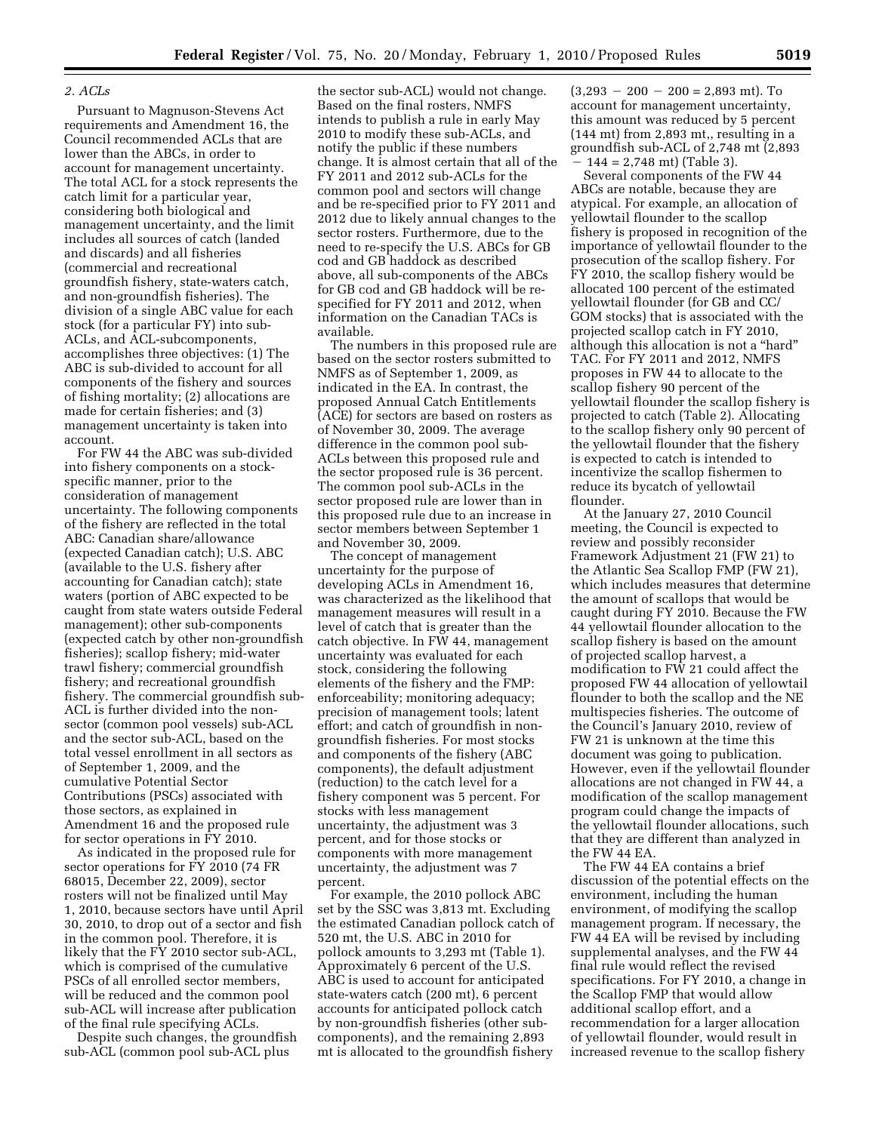#### *2. ACLs*

Pursuant to Magnuson-Stevens Act requirements and Amendment 16, the Council recommended ACLs that are lower than the ABCs, in order to account for management uncertainty. The total ACL for a stock represents the catch limit for a particular year, considering both biological and management uncertainty, and the limit includes all sources of catch (landed and discards) and all fisheries (commercial and recreational groundfish fishery, state-waters catch, and non-groundfish fisheries). The division of a single ABC value for each stock (for a particular FY) into sub-ACLs, and ACL-subcomponents, accomplishes three objectives: (1) The ABC is sub-divided to account for all components of the fishery and sources of fishing mortality; (2) allocations are made for certain fisheries; and (3) management uncertainty is taken into account.

For FW 44 the ABC was sub-divided into fishery components on a stockspecific manner, prior to the consideration of management uncertainty. The following components of the fishery are reflected in the total ABC: Canadian share/allowance (expected Canadian catch); U.S. ABC (available to the U.S. fishery after accounting for Canadian catch); state waters (portion of ABC expected to be caught from state waters outside Federal management); other sub-components (expected catch by other non-groundfish fisheries); scallop fishery; mid-water trawl fishery; commercial groundfish fishery; and recreational groundfish fishery. The commercial groundfish sub-ACL is further divided into the nonsector (common pool vessels) sub-ACL and the sector sub-ACL, based on the total vessel enrollment in all sectors as of September 1, 2009, and the cumulative Potential Sector Contributions (PSCs) associated with those sectors, as explained in Amendment 16 and the proposed rule for sector operations in FY 2010.

As indicated in the proposed rule for sector operations for FY 2010 (74 FR 68015, December 22, 2009), sector rosters will not be finalized until May 1, 2010, because sectors have until April 30, 2010, to drop out of a sector and fish in the common pool. Therefore, it is likely that the FY 2010 sector sub-ACL, which is comprised of the cumulative PSCs of all enrolled sector members, will be reduced and the common pool sub-ACL will increase after publication of the final rule specifying ACLs.

Despite such changes, the groundfish sub-ACL (common pool sub-ACL plus

the sector sub-ACL) would not change. Based on the final rosters, NMFS intends to publish a rule in early May 2010 to modify these sub-ACLs, and notify the public if these numbers change. It is almost certain that all of the FY 2011 and 2012 sub-ACLs for the common pool and sectors will change and be re-specified prior to FY 2011 and 2012 due to likely annual changes to the sector rosters. Furthermore, due to the need to re-specify the U.S. ABCs for GB cod and GB haddock as described above, all sub-components of the ABCs for GB cod and GB haddock will be respecified for FY 2011 and 2012, when information on the Canadian TACs is available.

The numbers in this proposed rule are based on the sector rosters submitted to NMFS as of September 1, 2009, as indicated in the EA. In contrast, the proposed Annual Catch Entitlements (ACE) for sectors are based on rosters as of November 30, 2009. The average difference in the common pool sub-ACLs between this proposed rule and the sector proposed rule is 36 percent. The common pool sub-ACLs in the sector proposed rule are lower than in this proposed rule due to an increase in sector members between September 1 and November 30, 2009.

The concept of management uncertainty for the purpose of developing ACLs in Amendment 16, was characterized as the likelihood that management measures will result in a level of catch that is greater than the catch objective. In FW 44, management uncertainty was evaluated for each stock, considering the following elements of the fishery and the FMP: enforceability; monitoring adequacy; precision of management tools; latent effort; and catch of groundfish in nongroundfish fisheries. For most stocks and components of the fishery (ABC components), the default adjustment (reduction) to the catch level for a fishery component was 5 percent. For stocks with less management uncertainty, the adjustment was 3 percent, and for those stocks or components with more management uncertainty, the adjustment was 7 percent.

For example, the 2010 pollock ABC set by the SSC was 3,813 mt. Excluding the estimated Canadian pollock catch of 520 mt, the U.S. ABC in 2010 for pollock amounts to 3,293 mt (Table 1). Approximately 6 percent of the U.S. ABC is used to account for anticipated state-waters catch (200 mt), 6 percent accounts for anticipated pollock catch by non-groundfish fisheries (other subcomponents), and the remaining 2,893 mt is allocated to the groundfish fishery

 $(3,293 - 200 - 200 = 2,893 \text{ mt})$ . To account for management uncertainty, this amount was reduced by 5 percent (144 mt) from 2,893 mt,, resulting in a groundfish sub-ACL of 2,748 mt (2,893  $144 = 2,748$  mt) (Table 3).

Several components of the FW 44 ABCs are notable, because they are atypical. For example, an allocation of yellowtail flounder to the scallop fishery is proposed in recognition of the importance of yellowtail flounder to the prosecution of the scallop fishery. For FY 2010, the scallop fishery would be allocated 100 percent of the estimated yellowtail flounder (for GB and CC/ GOM stocks) that is associated with the projected scallop catch in FY 2010, although this allocation is not a ''hard'' TAC. For FY 2011 and 2012, NMFS proposes in FW 44 to allocate to the scallop fishery 90 percent of the yellowtail flounder the scallop fishery is projected to catch (Table 2). Allocating to the scallop fishery only 90 percent of the yellowtail flounder that the fishery is expected to catch is intended to incentivize the scallop fishermen to reduce its bycatch of yellowtail flounder.

At the January 27, 2010 Council meeting, the Council is expected to review and possibly reconsider Framework Adjustment 21 (FW 21) to the Atlantic Sea Scallop FMP (FW 21), which includes measures that determine the amount of scallops that would be caught during FY 2010. Because the FW 44 yellowtail flounder allocation to the scallop fishery is based on the amount of projected scallop harvest, a modification to FW 21 could affect the proposed FW 44 allocation of yellowtail flounder to both the scallop and the NE multispecies fisheries. The outcome of the Council's January 2010, review of FW 21 is unknown at the time this document was going to publication. However, even if the yellowtail flounder allocations are not changed in FW 44, a modification of the scallop management program could change the impacts of the yellowtail flounder allocations, such that they are different than analyzed in the FW 44 EA.

The FW 44 EA contains a brief discussion of the potential effects on the environment, including the human environment, of modifying the scallop management program. If necessary, the FW 44 EA will be revised by including supplemental analyses, and the FW 44 final rule would reflect the revised specifications. For FY 2010, a change in the Scallop FMP that would allow additional scallop effort, and a recommendation for a larger allocation of yellowtail flounder, would result in increased revenue to the scallop fishery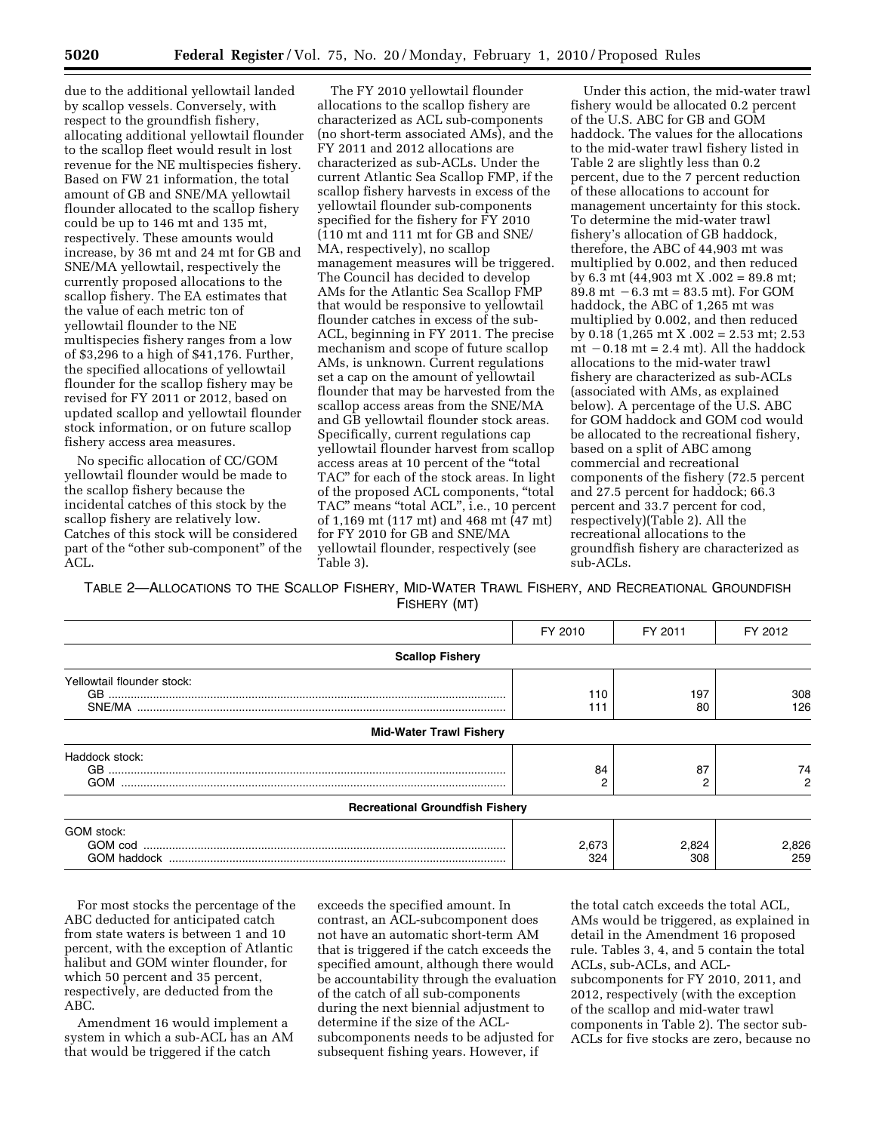due to the additional yellowtail landed by scallop vessels. Conversely, with respect to the groundfish fishery, allocating additional yellowtail flounder to the scallop fleet would result in lost revenue for the NE multispecies fishery. Based on FW 21 information, the total amount of GB and SNE/MA yellowtail flounder allocated to the scallop fishery could be up to 146 mt and 135 mt, respectively. These amounts would increase, by 36 mt and 24 mt for GB and SNE/MA yellowtail, respectively the currently proposed allocations to the scallop fishery. The EA estimates that the value of each metric ton of yellowtail flounder to the NE multispecies fishery ranges from a low of \$3,296 to a high of \$41,176. Further, the specified allocations of yellowtail flounder for the scallop fishery may be revised for FY 2011 or 2012, based on updated scallop and yellowtail flounder stock information, or on future scallop fishery access area measures.

No specific allocation of CC/GOM yellowtail flounder would be made to the scallop fishery because the incidental catches of this stock by the scallop fishery are relatively low. Catches of this stock will be considered part of the "other sub-component" of the  $ACL$ .

The FY 2010 yellowtail flounder allocations to the scallop fishery are characterized as ACL sub-components (no short-term associated AMs), and the FY 2011 and 2012 allocations are characterized as sub-ACLs. Under the current Atlantic Sea Scallop FMP, if the scallop fishery harvests in excess of the yellowtail flounder sub-components specified for the fishery for FY 2010 (110 mt and 111 mt for GB and SNE/ MA, respectively), no scallop management measures will be triggered. The Council has decided to develop AMs for the Atlantic Sea Scallop FMP that would be responsive to yellowtail flounder catches in excess of the sub-ACL, beginning in FY 2011. The precise mechanism and scope of future scallop AMs, is unknown. Current regulations set a cap on the amount of yellowtail flounder that may be harvested from the scallop access areas from the SNE/MA and GB yellowtail flounder stock areas. Specifically, current regulations cap yellowtail flounder harvest from scallop access areas at 10 percent of the ''total TAC'' for each of the stock areas. In light of the proposed ACL components, ''total TAC" means "total ACL", i.e., 10 percent of 1,169 mt (117 mt) and 468 mt (47 mt) for FY 2010 for GB and SNE/MA yellowtail flounder, respectively (see Table 3).

Under this action, the mid-water trawl fishery would be allocated 0.2 percent of the U.S. ABC for GB and GOM haddock. The values for the allocations to the mid-water trawl fishery listed in Table 2 are slightly less than 0.2 percent, due to the 7 percent reduction of these allocations to account for management uncertainty for this stock. To determine the mid-water trawl fishery's allocation of GB haddock, therefore, the ABC of 44,903 mt was multiplied by 0.002, and then reduced by 6.3 mt (44,903 mt X .002 = 89.8 mt; 89.8 mt  $-6.3$  mt = 83.5 mt). For GOM haddock, the ABC of 1,265 mt was multiplied by 0.002, and then reduced by 0.18 (1,265 mt X .002 = 2.53 mt; 2.53 mt  $-0.18$  mt  $= 2.4$  mt). All the haddock allocations to the mid-water trawl fishery are characterized as sub-ACLs (associated with AMs, as explained below). A percentage of the U.S. ABC for GOM haddock and GOM cod would be allocated to the recreational fishery, based on a split of ABC among commercial and recreational components of the fishery (72.5 percent and 27.5 percent for haddock; 66.3 percent and 33.7 percent for cod, respectively)(Table 2). All the recreational allocations to the groundfish fishery are characterized as sub-ACLs.

TABLE 2—ALLOCATIONS TO THE SCALLOP FISHERY, MID-WATER TRAWL FISHERY, AND RECREATIONAL GROUNDFISH FISHERY (MT)

|                                        | FY 2010      | FY 2011      | FY 2012      |
|----------------------------------------|--------------|--------------|--------------|
| <b>Scallop Fishery</b>                 |              |              |              |
| Yellowtail flounder stock:             | 110<br>111   | 197<br>80    | 308<br>126   |
| <b>Mid-Water Trawl Fishery</b>         |              |              |              |
| Haddock stock:<br><b>GOM</b>           | 84           | 87<br>2      | 74           |
| <b>Recreational Groundfish Fishery</b> |              |              |              |
| GOM stock:<br>GOM haddock              | 2,673<br>324 | 2,824<br>308 | 2,826<br>259 |

For most stocks the percentage of the ABC deducted for anticipated catch from state waters is between 1 and 10 percent, with the exception of Atlantic halibut and GOM winter flounder, for which 50 percent and 35 percent, respectively, are deducted from the ABC.

Amendment 16 would implement a system in which a sub-ACL has an AM that would be triggered if the catch

exceeds the specified amount. In contrast, an ACL-subcomponent does not have an automatic short-term AM that is triggered if the catch exceeds the specified amount, although there would be accountability through the evaluation of the catch of all sub-components during the next biennial adjustment to determine if the size of the ACLsubcomponents needs to be adjusted for subsequent fishing years. However, if

the total catch exceeds the total ACL, AMs would be triggered, as explained in detail in the Amendment 16 proposed rule. Tables 3, 4, and 5 contain the total ACLs, sub-ACLs, and ACLsubcomponents for FY 2010, 2011, and 2012, respectively (with the exception of the scallop and mid-water trawl components in Table 2). The sector sub-ACLs for five stocks are zero, because no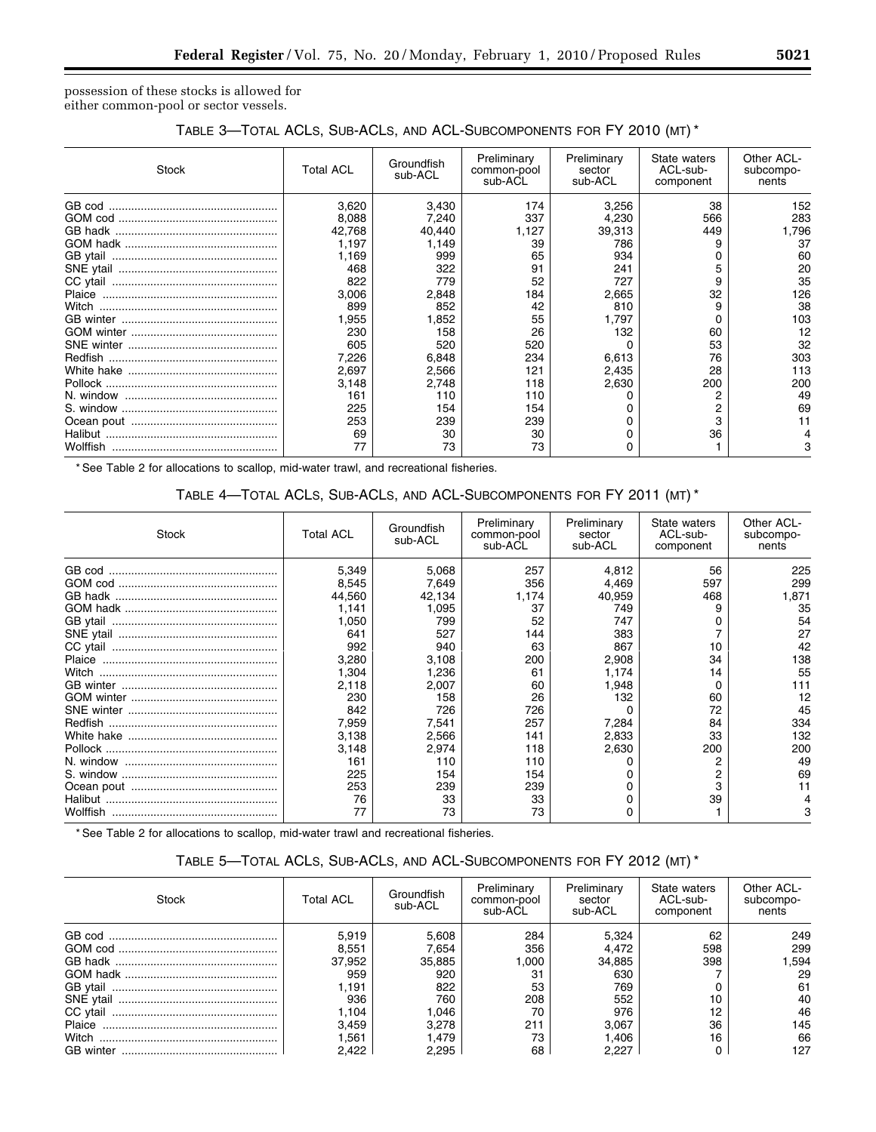possession of these stocks is allowed for either common-pool or sector vessels.

# TABLE 3—TOTAL ACLS, SUB-ACLS, AND ACL-SUBCOMPONENTS FOR FY 2010 (MT) \*

| Stock | <b>Total ACL</b> | Groundfish<br>sub-ACL | Preliminary<br>common-pool<br>sub-ACL | Preliminary<br>sector<br>sub-ACL | State waters<br>ACL-sub-<br>component | Other ACL-<br>subcompo-<br>nents |
|-------|------------------|-----------------------|---------------------------------------|----------------------------------|---------------------------------------|----------------------------------|
|       | 3,620            | 3,430                 | 174                                   | 3,256                            | 38                                    | 152                              |
|       | 8,088            | 7,240                 | 337                                   | 4.230                            | 566                                   | 283                              |
|       | 42,768           | 40,440                | 1,127                                 | 39,313                           | 449                                   | 796.                             |
|       | 1,197            | 1,149                 | 39                                    | 786                              | 9                                     | 37                               |
|       | 1.169            | 999                   | 65                                    | 934                              |                                       | 60                               |
|       | 468              | 322                   | 91                                    | 241                              |                                       | 20                               |
|       | 822              | 779                   | 52                                    | 727                              | 9                                     | 35                               |
|       | 3,006            | 2,848                 | 184                                   | 2,665                            | 32                                    | 126                              |
|       | 899              | 852                   | 42                                    | 810                              | 9                                     | 38                               |
|       | 1,955            | 1,852                 | 55                                    | 1.797                            |                                       | 103                              |
|       | 230              | 158                   | 26                                    | 132                              | 60                                    | 12                               |
|       | 605              | 520                   | 520                                   |                                  | 53                                    | 32                               |
|       | 7,226            | 6,848                 | 234                                   | 6,613                            | 76                                    | 303                              |
|       | 2,697            | 2,566                 | 121                                   | 2.435                            | 28                                    | 113                              |
|       | 3,148            | 2.748                 | 118                                   | 2,630                            | 200                                   | 200                              |
|       | 161              | 110                   | 110                                   |                                  |                                       | 49                               |
|       | 225              | 154                   | 154                                   |                                  |                                       | 69                               |
|       | 253              | 239                   | 239                                   |                                  |                                       |                                  |
|       | 69               | 30                    | 30                                    |                                  | 36                                    |                                  |
|       | 77               | 73                    | 73                                    |                                  |                                       |                                  |

\* See Table 2 for allocations to scallop, mid-water trawl, and recreational fisheries.

# TABLE 4—TOTAL ACLS, SUB-ACLS, AND ACL-SUBCOMPONENTS FOR FY 2011 (MT) \*

| Stock | <b>Total ACL</b> | Groundfish<br>sub-ACL | Preliminary<br>common-pool<br>sub-ACL | Preliminary<br>sector<br>sub-ACL | State waters<br>ACL-sub-<br>component | Other ACL-<br>subcompo-<br>nents |
|-------|------------------|-----------------------|---------------------------------------|----------------------------------|---------------------------------------|----------------------------------|
|       | 5,349            | 5,068                 | 257                                   | 4.812                            | 56                                    | 225                              |
|       | 8,545            | 7,649                 | 356                                   | 4.469                            | 597                                   | 299                              |
|       | 44.560           | 42,134                | 1.174                                 | 40.959                           | 468                                   | 1,871                            |
|       | 1,141            | 1,095                 | 37                                    | 749                              |                                       | 35                               |
|       | 1,050            | 799                   | 52                                    | 747                              |                                       | 54                               |
|       | 641              | 527                   | 144                                   | 383                              |                                       | 27                               |
|       | 992              | 940                   | 63                                    | 867                              | 10                                    | 42                               |
|       | 3,280            | 3,108                 | 200                                   | 2,908                            | 34                                    | 138                              |
| Witch | 1.304            | 1.236                 | 61                                    | 1.174                            | 14                                    | 55                               |
|       | 2,118            | 2,007                 | 60                                    | 1,948                            |                                       | 111                              |
|       | 230              | 158                   | 26                                    | 132                              | 60                                    | 12                               |
|       | 842              | 726                   | 726                                   |                                  | 72                                    | 45                               |
|       | 7,959            | 7,541                 | 257                                   | 7,284                            | 84                                    | 334                              |
|       | 3,138            | 2,566                 | 141                                   | 2,833                            | 33                                    | 132                              |
|       | 3,148            | 2,974                 | 118                                   | 2,630                            | 200                                   | 200                              |
|       | 161              | 110                   | 110                                   |                                  |                                       | 49                               |
|       | 225              | 154                   | 154                                   |                                  |                                       | 69                               |
|       | 253              | 239                   | 239                                   |                                  |                                       |                                  |
|       | 76               | 33                    | 33                                    |                                  | 39                                    |                                  |
|       | 77               | 73                    | 73                                    |                                  |                                       |                                  |

\* See Table 2 for allocations to scallop, mid-water trawl and recreational fisheries.

# TABLE 5—TOTAL ACLS, SUB-ACLS, AND ACL-SUBCOMPONENTS FOR FY 2012 (MT) \*

| Stock    | <b>Total ACL</b> | Groundfish<br>sub-ACL | Preliminary<br>common-pool<br>sub-ACL | Preliminary<br>sector<br>sub-ACL | State waters<br>ACL-sub-<br>component | Other ACL-<br>subcompo-<br>nents |
|----------|------------------|-----------------------|---------------------------------------|----------------------------------|---------------------------------------|----------------------------------|
| GB cod   | 5,919            | 5,608                 | 284                                   | 5.324                            | 62                                    | 249                              |
|          | 8.551            | 7,654                 | 356                                   | 4.472                            | 598                                   | 299                              |
|          | 37,952           | 35,885                | .000                                  | 34,885                           | 398                                   | .594                             |
|          | 959              | 920                   | 31                                    | 630                              |                                       | 29                               |
|          | 1.191            | 822                   | 53                                    | 769                              |                                       | 61                               |
|          | 936              | 760                   | 208                                   | 552                              |                                       | 40                               |
| CC vtail | 1.104            | .046                  | 70                                    | 976                              | 12                                    | 46                               |
|          | 3.459            | 3.278                 | 211                                   | 3.067                            | 36                                    | 145                              |
| Witch    | 561. ا           | .479                  | 73                                    | 1.406                            | 16                                    | 66                               |
|          | 2.422            | 2.295                 | 68                                    | 2.227                            |                                       | 127                              |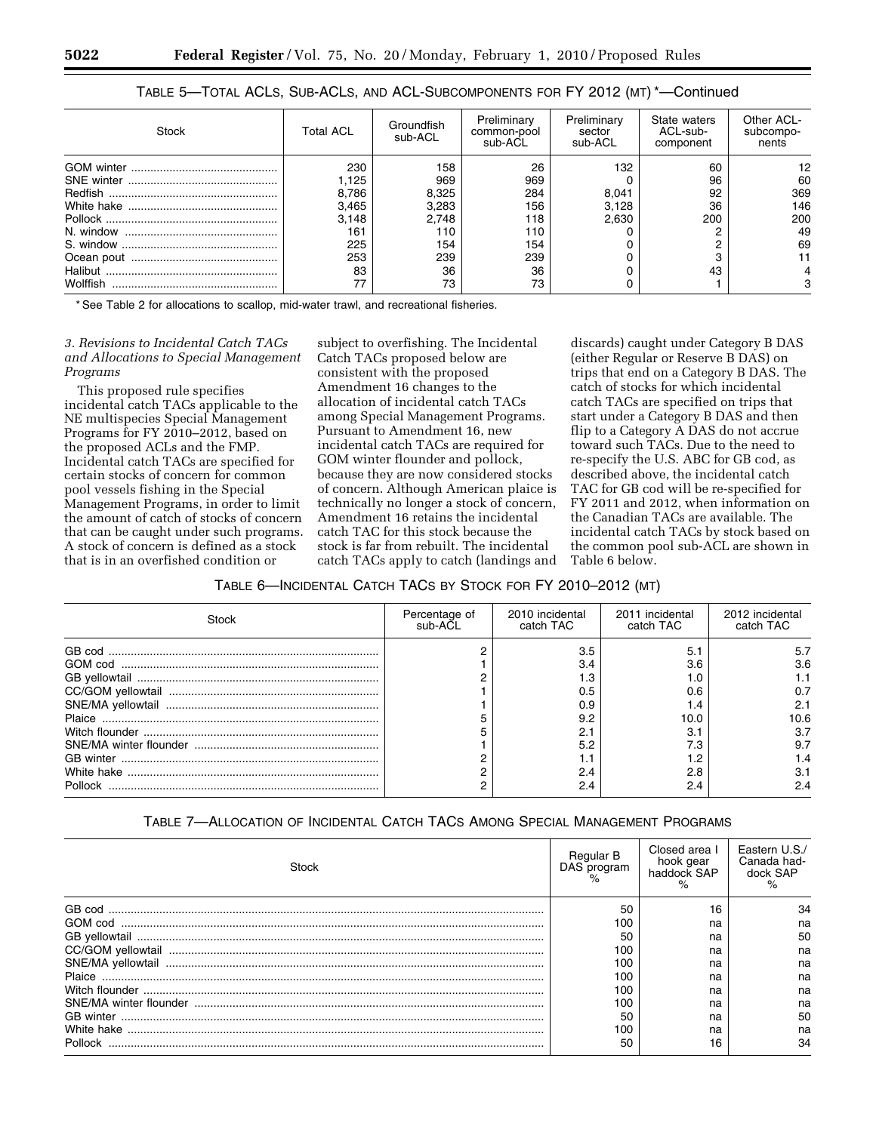| Stock    | <b>Total ACL</b> | Groundfish<br>sub-ACL | Preliminary<br>common-pool<br>sub-ACL | Preliminary<br>sector<br>sub-ACL | State waters<br>ACL-sub-<br>component | Other ACL-<br>subcompo-<br>nents |
|----------|------------------|-----------------------|---------------------------------------|----------------------------------|---------------------------------------|----------------------------------|
|          | 230              | 158                   | 26                                    | 132                              | 60                                    | 12                               |
|          | 1.125            | 969                   | 969                                   |                                  | 96                                    | 60                               |
| Redfish  | 8,786            | 8,325                 | 284                                   | 8.041                            | 92                                    | 369                              |
|          | 3,465            | 3.283                 | 156                                   | 3.128                            | 36                                    | 146                              |
|          | 3.148            | 2.748                 | 118                                   | 2.630                            | 200                                   | 200                              |
|          | 161              | 110                   | 110                                   |                                  |                                       | 49                               |
|          | 225              | 154                   | 154                                   |                                  |                                       | 69                               |
|          | 253              | 239                   | 239                                   |                                  |                                       |                                  |
|          | 83               | 36                    | 36                                    |                                  | 43                                    |                                  |
| Wolffish |                  | 73                    | 73                                    |                                  |                                       |                                  |

# TABLE 5—TOTAL ACLS, SUB-ACLS, AND ACL-SUBCOMPONENTS FOR FY 2012 (MT) \*—Continued

\* See Table 2 for allocations to scallop, mid-water trawl, and recreational fisheries.

## *3. Revisions to Incidental Catch TACs and Allocations to Special Management Programs*

This proposed rule specifies incidental catch TACs applicable to the NE multispecies Special Management Programs for FY 2010–2012, based on the proposed ACLs and the FMP. Incidental catch TACs are specified for certain stocks of concern for common pool vessels fishing in the Special Management Programs, in order to limit the amount of catch of stocks of concern that can be caught under such programs. A stock of concern is defined as a stock that is in an overfished condition or

subject to overfishing. The Incidental Catch TACs proposed below are consistent with the proposed Amendment 16 changes to the allocation of incidental catch TACs among Special Management Programs. Pursuant to Amendment 16, new incidental catch TACs are required for GOM winter flounder and pollock, because they are now considered stocks of concern. Although American plaice is technically no longer a stock of concern, Amendment 16 retains the incidental catch TAC for this stock because the stock is far from rebuilt. The incidental catch TACs apply to catch (landings and

discards) caught under Category B DAS (either Regular or Reserve B DAS) on trips that end on a Category B DAS. The catch of stocks for which incidental catch TACs are specified on trips that start under a Category B DAS and then flip to a Category A DAS do not accrue toward such TACs. Due to the need to re-specify the U.S. ABC for GB cod, as described above, the incidental catch TAC for GB cod will be re-specified for FY 2011 and 2012, when information on the Canadian TACs are available. The incidental catch TACs by stock based on the common pool sub-ACL are shown in Table 6 below.

## TABLE 6—INCIDENTAL CATCH TACS BY STOCK FOR FY 2010–2012 (MT)

| Stock   | Percentage of<br>sub-ACL | 2010 incidental<br>catch TAC | 2011 incidental<br>catch TAC | 2012 incidental<br>catch TAC |
|---------|--------------------------|------------------------------|------------------------------|------------------------------|
|         |                          | 3.5                          | 5.1                          | 5.7                          |
|         |                          | 3.4                          | 3.6                          | 3.6                          |
|         |                          | 3. ا                         |                              |                              |
|         |                          | 0.5                          | 0.6                          | 0.7                          |
|         |                          | 0.9                          |                              | 2.1                          |
|         |                          | 9.2                          | 10.0                         | 10.6                         |
|         |                          | 2.1                          | 3.1                          | 3.7                          |
|         |                          | 5.2                          | 7.3                          | 9.7                          |
|         |                          |                              |                              |                              |
|         |                          | 2.4                          | 2.8                          | 3.1                          |
| Pollock |                          | 2.4                          | 2.4                          | 2.4                          |

# TABLE 7—ALLOCATION OF INCIDENTAL CATCH TACS AMONG SPECIAL MANAGEMENT PROGRAMS

| Stock                                                                                                                                                                                                                                                                                                                                                                                                                                                                                                                                | Regular B<br>DAS program | Closed area I<br>hook gear<br>haddock SAP | Eastern U.S./<br>Canada had-<br>dock SAP |
|--------------------------------------------------------------------------------------------------------------------------------------------------------------------------------------------------------------------------------------------------------------------------------------------------------------------------------------------------------------------------------------------------------------------------------------------------------------------------------------------------------------------------------------|--------------------------|-------------------------------------------|------------------------------------------|
| GB cod                                                                                                                                                                                                                                                                                                                                                                                                                                                                                                                               | 50                       |                                           | 34                                       |
| $\begin{minipage}{.4\linewidth} \textbf{GOM cod} \end{minipage} \begin{minipage}{.4\linewidth} \textbf{GOM cod} \end{minipage} \begin{minipage}{.4\linewidth} \textbf{GOM cod} \end{minipage} \begin{minipage}{.4\linewidth} \textbf{GOM cod} \end{minipage} \begin{minipage}{.4\linewidth} \textbf{GOM cod} \end{minipage} \begin{minipage}{.4\linewidth} \textbf{GOM cod} \end{minipage} \begin{minipage}{.4\linewidth} \textbf{GOM cod} \end{minipage} \begin{minipage}{.4\linewidth} \textbf{GOM cod} \end{minipage} \begin{min$ | 100                      | na                                        | na                                       |
|                                                                                                                                                                                                                                                                                                                                                                                                                                                                                                                                      | 50                       | na                                        | 50                                       |
|                                                                                                                                                                                                                                                                                                                                                                                                                                                                                                                                      | 100                      | na                                        | na                                       |
|                                                                                                                                                                                                                                                                                                                                                                                                                                                                                                                                      | 100                      | na                                        | na                                       |
|                                                                                                                                                                                                                                                                                                                                                                                                                                                                                                                                      | 100                      | na                                        | na                                       |
|                                                                                                                                                                                                                                                                                                                                                                                                                                                                                                                                      | 100                      | na                                        | na                                       |
|                                                                                                                                                                                                                                                                                                                                                                                                                                                                                                                                      | 100                      | na                                        | na                                       |
|                                                                                                                                                                                                                                                                                                                                                                                                                                                                                                                                      | 50                       | na                                        | 50                                       |
| White hake                                                                                                                                                                                                                                                                                                                                                                                                                                                                                                                           | 100                      | na                                        | na                                       |
| Pollock                                                                                                                                                                                                                                                                                                                                                                                                                                                                                                                              | 50                       | 16                                        | 34                                       |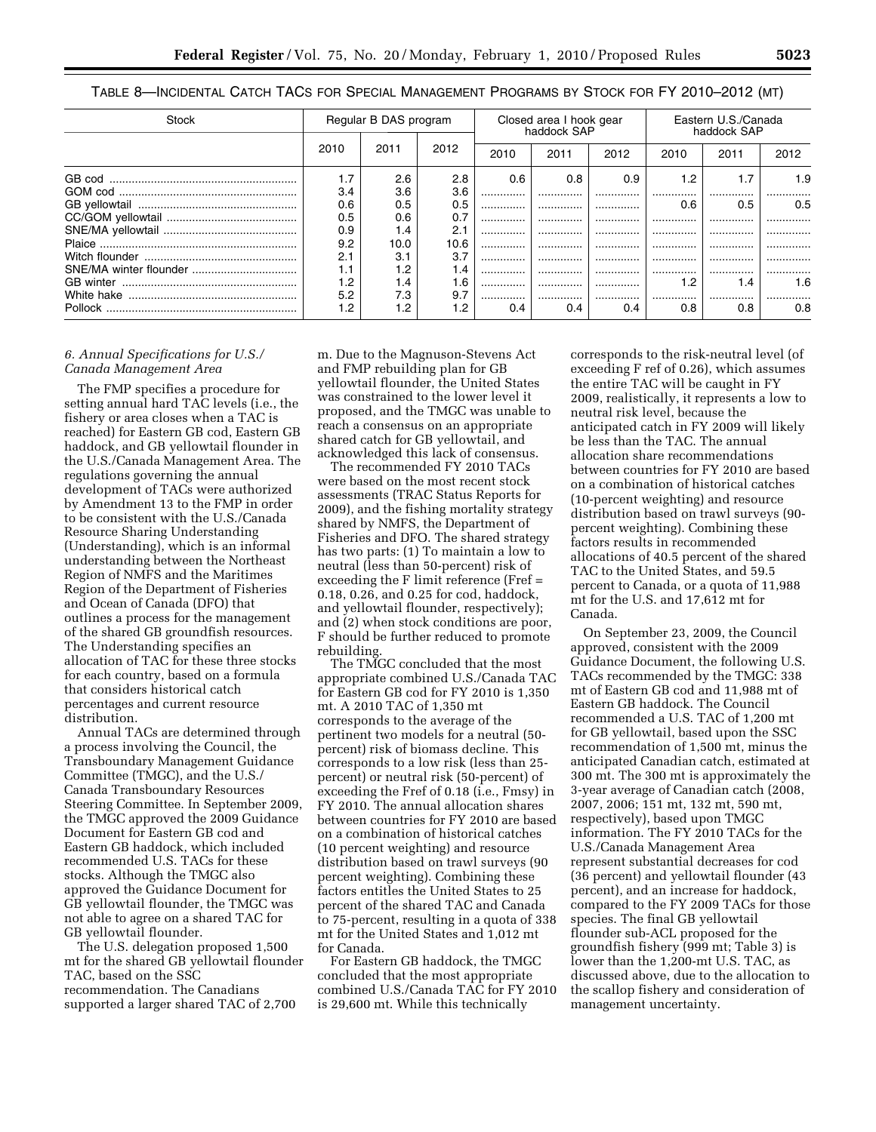| Table 8—Incidental Catch TACs for Special Management Programs by Stock for FY 2010–2012 (mt) |  |  |
|----------------------------------------------------------------------------------------------|--|--|
|----------------------------------------------------------------------------------------------|--|--|

| Stock      | Regular B DAS program |      | Closed area I hook gear<br>haddock SAP |      |      | Eastern U.S./Canada<br>haddock SAP |      |      |      |
|------------|-----------------------|------|----------------------------------------|------|------|------------------------------------|------|------|------|
|            | 2010                  | 2011 | 2012                                   | 2010 | 2011 | 2012                               | 2010 | 2011 | 2012 |
| GB cod     | 1.7                   | 2.6  | 2.8                                    | 0.6  | 0.8  | 0.9                                | 1.2  | 1.7  | 1.9  |
|            | 3.4                   | 3.6  | 3.6                                    |      |      |                                    | .    | .    |      |
|            | 0.6                   | 0.5  | 0.5                                    |      |      |                                    | 0.6  | 0.5  | 0.5  |
|            | 0.5                   | 0.6  | 0.7                                    |      |      |                                    |      |      |      |
|            | 0.9                   | 1.4  | 2.1                                    |      |      |                                    |      | .    | .    |
|            | 9.2                   | 10.0 | 10.6                                   |      |      |                                    |      | .    | .    |
|            | 2.1                   | 3.1  | 3.7                                    |      |      |                                    |      | .    | .    |
|            | 1.1                   | 1.2  | 1.4                                    |      |      | .                                  | .    | .    |      |
| GB winter  | 1.2                   | 1.4  | 1.6                                    |      |      |                                    | 1.2  | 1.4  | 1.6  |
| White hake | 5.2                   | 7.3  | 9.7                                    |      |      |                                    |      |      |      |
| Pollock    | 2. ا                  | 1.2  | 1.2                                    | 0.4  | 0.4  | 0.4                                | 0.8  | 0.8  | 0.8  |

#### *6. Annual Specifications for U.S./ Canada Management Area*

The FMP specifies a procedure for setting annual hard TAC levels (i.e., the fishery or area closes when a TAC is reached) for Eastern GB cod, Eastern GB haddock, and GB yellowtail flounder in the U.S./Canada Management Area. The regulations governing the annual development of TACs were authorized by Amendment 13 to the FMP in order to be consistent with the U.S./Canada Resource Sharing Understanding (Understanding), which is an informal understanding between the Northeast Region of NMFS and the Maritimes Region of the Department of Fisheries and Ocean of Canada (DFO) that outlines a process for the management of the shared GB groundfish resources. The Understanding specifies an allocation of TAC for these three stocks for each country, based on a formula that considers historical catch percentages and current resource distribution.

Annual TACs are determined through a process involving the Council, the Transboundary Management Guidance Committee (TMGC), and the U.S./ Canada Transboundary Resources Steering Committee. In September 2009, the TMGC approved the 2009 Guidance Document for Eastern GB cod and Eastern GB haddock, which included recommended U.S. TACs for these stocks. Although the TMGC also approved the Guidance Document for GB yellowtail flounder, the TMGC was not able to agree on a shared TAC for GB yellowtail flounder.

The U.S. delegation proposed 1,500 mt for the shared GB yellowtail flounder TAC, based on the SSC recommendation. The Canadians supported a larger shared TAC of 2,700

m. Due to the Magnuson-Stevens Act and FMP rebuilding plan for GB yellowtail flounder, the United States was constrained to the lower level it proposed, and the TMGC was unable to reach a consensus on an appropriate shared catch for GB yellowtail, and acknowledged this lack of consensus.

The recommended FY 2010 TACs were based on the most recent stock assessments (TRAC Status Reports for 2009), and the fishing mortality strategy shared by NMFS, the Department of Fisheries and DFO. The shared strategy has two parts: (1) To maintain a low to neutral (less than 50-percent) risk of exceeding the F limit reference (Fref = 0.18, 0.26, and 0.25 for cod, haddock, and yellowtail flounder, respectively); and (2) when stock conditions are poor, F should be further reduced to promote rebuilding.

The TMGC concluded that the most appropriate combined U.S./Canada TAC for Eastern GB cod for FY 2010 is 1,350 mt. A 2010 TAC of 1,350 mt corresponds to the average of the pertinent two models for a neutral (50 percent) risk of biomass decline. This corresponds to a low risk (less than 25 percent) or neutral risk (50-percent) of exceeding the Fref of 0.18 (i.e., Fmsy) in FY 2010. The annual allocation shares between countries for FY 2010 are based on a combination of historical catches (10 percent weighting) and resource distribution based on trawl surveys (90 percent weighting). Combining these factors entitles the United States to 25 percent of the shared TAC and Canada to 75-percent, resulting in a quota of 338 mt for the United States and 1,012 mt for Canada.

For Eastern GB haddock, the TMGC concluded that the most appropriate combined U.S./Canada TAC for FY 2010 is 29,600 mt. While this technically

corresponds to the risk-neutral level (of exceeding F ref of 0.26), which assumes the entire TAC will be caught in FY 2009, realistically, it represents a low to neutral risk level, because the anticipated catch in FY 2009 will likely be less than the TAC. The annual allocation share recommendations between countries for FY 2010 are based on a combination of historical catches (10-percent weighting) and resource distribution based on trawl surveys (90 percent weighting). Combining these factors results in recommended allocations of 40.5 percent of the shared TAC to the United States, and 59.5 percent to Canada, or a quota of 11,988 mt for the U.S. and 17,612 mt for Canada.

On September 23, 2009, the Council approved, consistent with the 2009 Guidance Document, the following U.S. TACs recommended by the TMGC: 338 mt of Eastern GB cod and 11,988 mt of Eastern GB haddock. The Council recommended a U.S. TAC of 1,200 mt for GB yellowtail, based upon the SSC recommendation of 1,500 mt, minus the anticipated Canadian catch, estimated at 300 mt. The 300 mt is approximately the 3-year average of Canadian catch (2008, 2007, 2006; 151 mt, 132 mt, 590 mt, respectively), based upon TMGC information. The FY 2010 TACs for the U.S./Canada Management Area represent substantial decreases for cod (36 percent) and yellowtail flounder (43 percent), and an increase for haddock, compared to the FY 2009 TACs for those species. The final GB yellowtail flounder sub-ACL proposed for the groundfish fishery (999 mt; Table 3) is lower than the 1,200-mt U.S. TAC, as discussed above, due to the allocation to the scallop fishery and consideration of management uncertainty.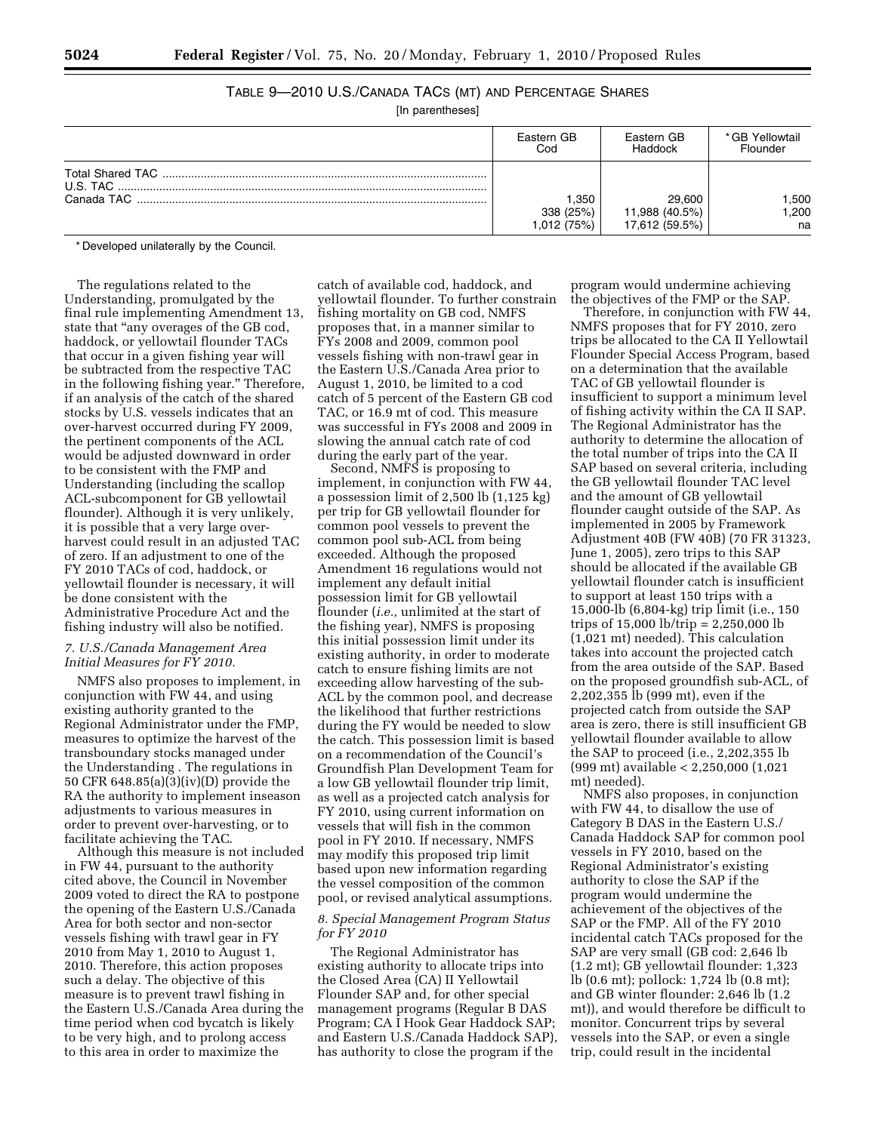# TABLE 9—2010 U.S./CANADA TACS (MT) AND PERCENTAGE SHARES

[In parentheses]

|            | Eastern GB                       | Eastern GB                                 | * GB Yellowtail    |
|------------|----------------------------------|--------------------------------------------|--------------------|
|            | Cod                              | Haddock                                    | Flounder           |
| Canada TAC | .350<br>338 (25%)<br>1,012 (75%) | 29.600<br>11,988 (40.5%)<br>17,612 (59.5%) | .500<br>,200<br>na |

\* Developed unilaterally by the Council.

The regulations related to the Understanding, promulgated by the final rule implementing Amendment 13, state that "any overages of the GB cod, haddock, or yellowtail flounder TACs that occur in a given fishing year will be subtracted from the respective TAC in the following fishing year.'' Therefore, if an analysis of the catch of the shared stocks by U.S. vessels indicates that an over-harvest occurred during FY 2009, the pertinent components of the ACL would be adjusted downward in order to be consistent with the FMP and Understanding (including the scallop ACL-subcomponent for GB yellowtail flounder). Although it is very unlikely, it is possible that a very large overharvest could result in an adjusted TAC of zero. If an adjustment to one of the FY 2010 TACs of cod, haddock, or yellowtail flounder is necessary, it will be done consistent with the Administrative Procedure Act and the fishing industry will also be notified.

## *7. U.S./Canada Management Area Initial Measures for FY 2010.*

NMFS also proposes to implement, in conjunction with FW 44, and using existing authority granted to the Regional Administrator under the FMP, measures to optimize the harvest of the transboundary stocks managed under the Understanding . The regulations in 50 CFR 648.85(a)(3)(iv)(D) provide the RA the authority to implement inseason adjustments to various measures in order to prevent over-harvesting, or to facilitate achieving the TAC.

Although this measure is not included in FW 44, pursuant to the authority cited above, the Council in November 2009 voted to direct the RA to postpone the opening of the Eastern U.S./Canada Area for both sector and non-sector vessels fishing with trawl gear in FY 2010 from May 1, 2010 to August 1, 2010. Therefore, this action proposes such a delay. The objective of this measure is to prevent trawl fishing in the Eastern U.S./Canada Area during the time period when cod bycatch is likely to be very high, and to prolong access to this area in order to maximize the

catch of available cod, haddock, and yellowtail flounder. To further constrain fishing mortality on GB cod, NMFS proposes that, in a manner similar to FYs 2008 and 2009, common pool vessels fishing with non-trawl gear in the Eastern U.S./Canada Area prior to August 1, 2010, be limited to a cod catch of 5 percent of the Eastern GB cod TAC, or 16.9 mt of cod. This measure was successful in FYs 2008 and 2009 in slowing the annual catch rate of cod during the early part of the year.

Second, NMFS is proposing to implement, in conjunction with FW 44, a possession limit of 2,500 lb (1,125 kg) per trip for GB yellowtail flounder for common pool vessels to prevent the common pool sub-ACL from being exceeded. Although the proposed Amendment 16 regulations would not implement any default initial possession limit for GB yellowtail flounder (*i.e.,* unlimited at the start of the fishing year), NMFS is proposing this initial possession limit under its existing authority, in order to moderate catch to ensure fishing limits are not exceeding allow harvesting of the sub-ACL by the common pool, and decrease the likelihood that further restrictions during the FY would be needed to slow the catch. This possession limit is based on a recommendation of the Council's Groundfish Plan Development Team for a low GB yellowtail flounder trip limit, as well as a projected catch analysis for FY 2010, using current information on vessels that will fish in the common pool in FY 2010. If necessary, NMFS may modify this proposed trip limit based upon new information regarding the vessel composition of the common pool, or revised analytical assumptions.

### *8. Special Management Program Status for FY 2010*

The Regional Administrator has existing authority to allocate trips into the Closed Area (CA) II Yellowtail Flounder SAP and, for other special management programs (Regular B DAS Program; CA I Hook Gear Haddock SAP; and Eastern U.S./Canada Haddock SAP), has authority to close the program if the

program would undermine achieving the objectives of the FMP or the SAP.

Therefore, in conjunction with FW 44, NMFS proposes that for FY 2010, zero trips be allocated to the CA II Yellowtail Flounder Special Access Program, based on a determination that the available TAC of GB yellowtail flounder is insufficient to support a minimum level of fishing activity within the CA II SAP. The Regional Administrator has the authority to determine the allocation of the total number of trips into the CA II SAP based on several criteria, including the GB yellowtail flounder TAC level and the amount of GB yellowtail flounder caught outside of the SAP. As implemented in 2005 by Framework Adjustment 40B (FW 40B) (70 FR 31323, June 1, 2005), zero trips to this SAP should be allocated if the available GB yellowtail flounder catch is insufficient to support at least 150 trips with a 15,000-lb (6,804-kg) trip limit (i.e., 150 trips of 15,000 lb/trip = 2,250,000 lb (1,021 mt) needed). This calculation takes into account the projected catch from the area outside of the SAP. Based on the proposed groundfish sub-ACL, of 2,202,355 lb (999 mt), even if the projected catch from outside the SAP area is zero, there is still insufficient GB yellowtail flounder available to allow the SAP to proceed (i.e., 2,202,355 lb (999 mt) available < 2,250,000 (1,021 mt) needed).

NMFS also proposes, in conjunction with FW 44, to disallow the use of Category B DAS in the Eastern U.S./ Canada Haddock SAP for common pool vessels in FY 2010, based on the Regional Administrator's existing authority to close the SAP if the program would undermine the achievement of the objectives of the SAP or the FMP. All of the FY 2010 incidental catch TACs proposed for the SAP are very small (GB cod: 2,646 lb (1.2 mt); GB yellowtail flounder: 1,323 lb (0.6 mt); pollock: 1,724 lb (0.8 mt); and GB winter flounder: 2,646 lb (1.2 mt)), and would therefore be difficult to monitor. Concurrent trips by several vessels into the SAP, or even a single trip, could result in the incidental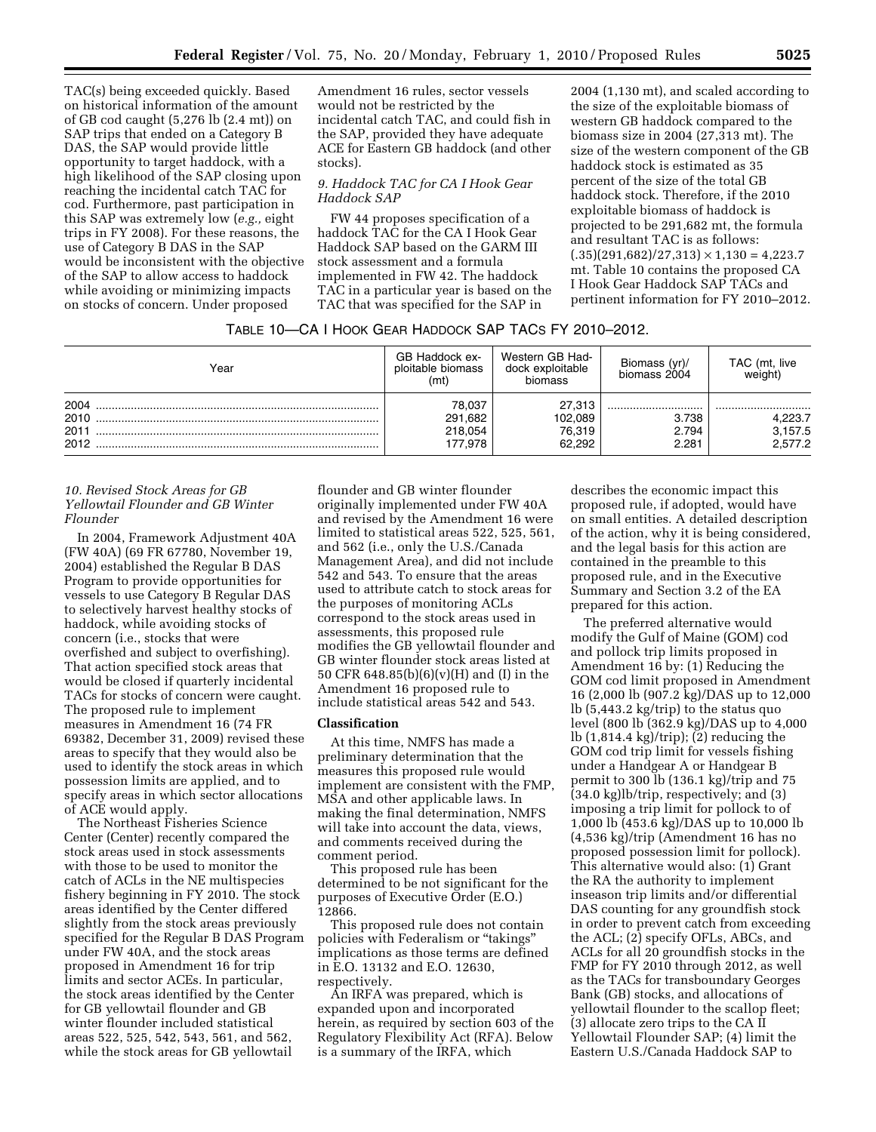TAC(s) being exceeded quickly. Based on historical information of the amount of GB cod caught (5,276 lb (2.4 mt)) on SAP trips that ended on a Category B DAS, the SAP would provide little opportunity to target haddock, with a high likelihood of the SAP closing upon reaching the incidental catch TAC for cod. Furthermore, past participation in this SAP was extremely low (*e.g.,* eight trips in FY 2008). For these reasons, the use of Category B DAS in the SAP would be inconsistent with the objective of the SAP to allow access to haddock while avoiding or minimizing impacts on stocks of concern. Under proposed

Amendment 16 rules, sector vessels would not be restricted by the incidental catch TAC, and could fish in the SAP, provided they have adequate ACE for Eastern GB haddock (and other stocks).

#### *9. Haddock TAC for CA I Hook Gear Haddock SAP*

FW 44 proposes specification of a haddock TAC for the CA I Hook Gear Haddock SAP based on the GARM III stock assessment and a formula implemented in FW 42. The haddock TAC in a particular year is based on the TAC that was specified for the SAP in

2004 (1,130 mt), and scaled according to the size of the exploitable biomass of western GB haddock compared to the biomass size in 2004 (27,313 mt). The size of the western component of the GB haddock stock is estimated as 35 percent of the size of the total GB haddock stock. Therefore, if the 2010 exploitable biomass of haddock is projected to be 291,682 mt, the formula and resultant TAC is as follows:  $(0.35)(291,682)/27,313) \times 1,130 = 4,223.7$ mt. Table 10 contains the proposed CA I Hook Gear Haddock SAP TACs and pertinent information for FY 2010–2012.

| TABLE 10—CA I HOOK GEAR HADDOCK SAP TACS FY 2010–2012. |  |
|--------------------------------------------------------|--|
|--------------------------------------------------------|--|

| Year                         | GB Haddock ex-<br>ploitable biomass<br>(mt) | Western GB Had-<br>dock exploitable<br>biomass | Biomass (yr)/<br>biomass 2004 | TAC (mt, live<br>weight)          |
|------------------------------|---------------------------------------------|------------------------------------------------|-------------------------------|-----------------------------------|
| 2004<br>2010<br>2011<br>2012 | 78,037<br>291,682<br>218,054<br>177.978     | 27,313<br>102,089<br>76,319<br>62.292          | <br>3.738<br>2.794<br>2.281   | <br>4.223.7<br>3,157.5<br>2.577.2 |

### *10. Revised Stock Areas for GB Yellowtail Flounder and GB Winter Flounder*

In 2004, Framework Adjustment 40A (FW 40A) (69 FR 67780, November 19, 2004) established the Regular B DAS Program to provide opportunities for vessels to use Category B Regular DAS to selectively harvest healthy stocks of haddock, while avoiding stocks of concern (i.e., stocks that were overfished and subject to overfishing). That action specified stock areas that would be closed if quarterly incidental TACs for stocks of concern were caught. The proposed rule to implement measures in Amendment 16 (74 FR 69382, December 31, 2009) revised these areas to specify that they would also be used to identify the stock areas in which possession limits are applied, and to specify areas in which sector allocations of ACE would apply.

The Northeast Fisheries Science Center (Center) recently compared the stock areas used in stock assessments with those to be used to monitor the catch of ACLs in the NE multispecies fishery beginning in FY 2010. The stock areas identified by the Center differed slightly from the stock areas previously specified for the Regular B DAS Program under FW 40A, and the stock areas proposed in Amendment 16 for trip limits and sector ACEs. In particular, the stock areas identified by the Center for GB yellowtail flounder and GB winter flounder included statistical areas 522, 525, 542, 543, 561, and 562, while the stock areas for GB yellowtail

flounder and GB winter flounder originally implemented under FW 40A and revised by the Amendment 16 were limited to statistical areas 522, 525, 561, and 562 (i.e., only the U.S./Canada Management Area), and did not include 542 and 543. To ensure that the areas used to attribute catch to stock areas for the purposes of monitoring ACLs correspond to the stock areas used in assessments, this proposed rule modifies the GB yellowtail flounder and GB winter flounder stock areas listed at 50 CFR 648.85(b)(6)(v)(H) and (I) in the Amendment 16 proposed rule to include statistical areas 542 and 543.

## **Classification**

At this time, NMFS has made a preliminary determination that the measures this proposed rule would implement are consistent with the FMP, MSA and other applicable laws. In making the final determination, NMFS will take into account the data, views, and comments received during the comment period.

This proposed rule has been determined to be not significant for the purposes of Executive Order (E.O.) 12866.

This proposed rule does not contain policies with Federalism or ''takings'' implications as those terms are defined in E.O. 13132 and E.O. 12630, respectively.

An IRFA was prepared, which is expanded upon and incorporated herein, as required by section 603 of the Regulatory Flexibility Act (RFA). Below is a summary of the IRFA, which

describes the economic impact this proposed rule, if adopted, would have on small entities. A detailed description of the action, why it is being considered, and the legal basis for this action are contained in the preamble to this proposed rule, and in the Executive Summary and Section 3.2 of the EA prepared for this action.

The preferred alternative would modify the Gulf of Maine (GOM) cod and pollock trip limits proposed in Amendment 16 by: (1) Reducing the GOM cod limit proposed in Amendment 16 (2,000 lb (907.2 kg)/DAS up to 12,000 lb (5,443.2 kg/trip) to the status quo level (800 lb (362.9 kg)/DAS up to 4,000 lb (1,814.4 kg)/trip); (2) reducing the GOM cod trip limit for vessels fishing under a Handgear A or Handgear B permit to 300 lb (136.1 kg)/trip and 75 (34.0 kg)lb/trip, respectively; and (3) imposing a trip limit for pollock to of 1,000 lb (453.6 kg)/DAS up to 10,000 lb (4,536 kg)/trip (Amendment 16 has no proposed possession limit for pollock). This alternative would also: (1) Grant the RA the authority to implement inseason trip limits and/or differential DAS counting for any groundfish stock in order to prevent catch from exceeding the ACL; (2) specify OFLs, ABCs, and ACLs for all 20 groundfish stocks in the FMP for FY 2010 through 2012, as well as the TACs for transboundary Georges Bank (GB) stocks, and allocations of yellowtail flounder to the scallop fleet; (3) allocate zero trips to the CA II Yellowtail Flounder SAP; (4) limit the Eastern U.S./Canada Haddock SAP to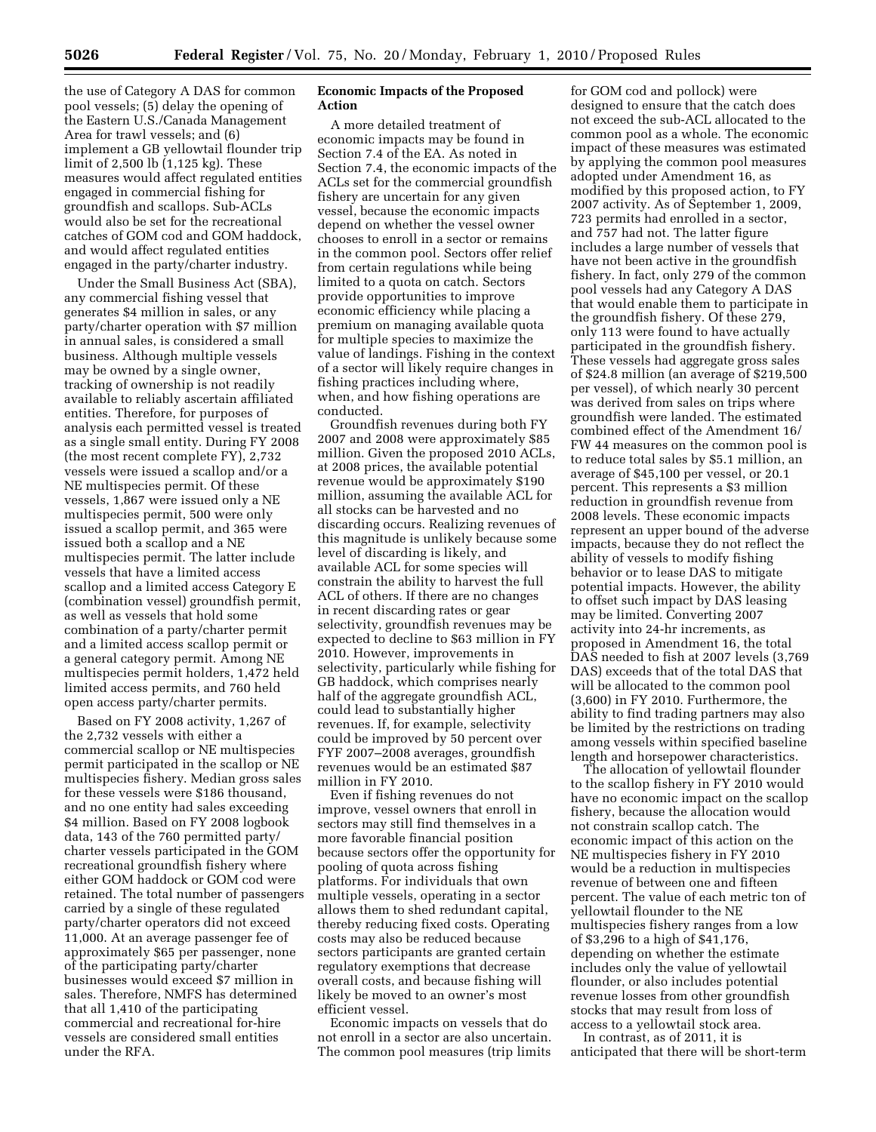the use of Category A DAS for common pool vessels; (5) delay the opening of the Eastern U.S./Canada Management Area for trawl vessels; and (6) implement a GB yellowtail flounder trip limit of 2,500 lb (1,125 kg). These measures would affect regulated entities engaged in commercial fishing for groundfish and scallops. Sub-ACLs would also be set for the recreational catches of GOM cod and GOM haddock, and would affect regulated entities engaged in the party/charter industry.

Under the Small Business Act (SBA), any commercial fishing vessel that generates \$4 million in sales, or any party/charter operation with \$7 million in annual sales, is considered a small business. Although multiple vessels may be owned by a single owner, tracking of ownership is not readily available to reliably ascertain affiliated entities. Therefore, for purposes of analysis each permitted vessel is treated as a single small entity. During FY 2008 (the most recent complete FY), 2,732 vessels were issued a scallop and/or a NE multispecies permit. Of these vessels, 1,867 were issued only a NE multispecies permit, 500 were only issued a scallop permit, and 365 were issued both a scallop and a NE multispecies permit. The latter include vessels that have a limited access scallop and a limited access Category E (combination vessel) groundfish permit, as well as vessels that hold some combination of a party/charter permit and a limited access scallop permit or a general category permit. Among NE multispecies permit holders, 1,472 held limited access permits, and 760 held open access party/charter permits.

Based on FY 2008 activity, 1,267 of the 2,732 vessels with either a commercial scallop or NE multispecies permit participated in the scallop or NE multispecies fishery. Median gross sales for these vessels were \$186 thousand, and no one entity had sales exceeding \$4 million. Based on FY 2008 logbook data, 143 of the 760 permitted party/ charter vessels participated in the GOM recreational groundfish fishery where either GOM haddock or GOM cod were retained. The total number of passengers carried by a single of these regulated party/charter operators did not exceed 11,000. At an average passenger fee of approximately \$65 per passenger, none of the participating party/charter businesses would exceed \$7 million in sales. Therefore, NMFS has determined that all 1,410 of the participating commercial and recreational for-hire vessels are considered small entities under the RFA.

## **Economic Impacts of the Proposed Action**

A more detailed treatment of economic impacts may be found in Section 7.4 of the EA. As noted in Section 7.4, the economic impacts of the ACLs set for the commercial groundfish fishery are uncertain for any given vessel, because the economic impacts depend on whether the vessel owner chooses to enroll in a sector or remains in the common pool. Sectors offer relief from certain regulations while being limited to a quota on catch. Sectors provide opportunities to improve economic efficiency while placing a premium on managing available quota for multiple species to maximize the value of landings. Fishing in the context of a sector will likely require changes in fishing practices including where, when, and how fishing operations are conducted.

Groundfish revenues during both FY 2007 and 2008 were approximately \$85 million. Given the proposed 2010 ACLs, at 2008 prices, the available potential revenue would be approximately \$190 million, assuming the available ACL for all stocks can be harvested and no discarding occurs. Realizing revenues of this magnitude is unlikely because some level of discarding is likely, and available ACL for some species will constrain the ability to harvest the full ACL of others. If there are no changes in recent discarding rates or gear selectivity, groundfish revenues may be expected to decline to \$63 million in FY 2010. However, improvements in selectivity, particularly while fishing for GB haddock, which comprises nearly half of the aggregate groundfish ACL, could lead to substantially higher revenues. If, for example, selectivity could be improved by 50 percent over FYF 2007–2008 averages, groundfish revenues would be an estimated \$87 million in FY 2010.

Even if fishing revenues do not improve, vessel owners that enroll in sectors may still find themselves in a more favorable financial position because sectors offer the opportunity for pooling of quota across fishing platforms. For individuals that own multiple vessels, operating in a sector allows them to shed redundant capital, thereby reducing fixed costs. Operating costs may also be reduced because sectors participants are granted certain regulatory exemptions that decrease overall costs, and because fishing will likely be moved to an owner's most efficient vessel.

Economic impacts on vessels that do not enroll in a sector are also uncertain. The common pool measures (trip limits

for GOM cod and pollock) were designed to ensure that the catch does not exceed the sub-ACL allocated to the common pool as a whole. The economic impact of these measures was estimated by applying the common pool measures adopted under Amendment 16, as modified by this proposed action, to FY 2007 activity. As of September 1, 2009, 723 permits had enrolled in a sector, and 757 had not. The latter figure includes a large number of vessels that have not been active in the groundfish fishery. In fact, only 279 of the common pool vessels had any Category A DAS that would enable them to participate in the groundfish fishery. Of these 279, only 113 were found to have actually participated in the groundfish fishery. These vessels had aggregate gross sales of \$24.8 million (an average of \$219,500 per vessel), of which nearly 30 percent was derived from sales on trips where groundfish were landed. The estimated combined effect of the Amendment 16/ FW 44 measures on the common pool is to reduce total sales by \$5.1 million, an average of \$45,100 per vessel, or 20.1 percent. This represents a \$3 million reduction in groundfish revenue from 2008 levels. These economic impacts represent an upper bound of the adverse impacts, because they do not reflect the ability of vessels to modify fishing behavior or to lease DAS to mitigate potential impacts. However, the ability to offset such impact by DAS leasing may be limited. Converting 2007 activity into 24-hr increments, as proposed in Amendment 16, the total DAS needed to fish at 2007 levels (3,769 DAS) exceeds that of the total DAS that will be allocated to the common pool (3,600) in FY 2010. Furthermore, the ability to find trading partners may also be limited by the restrictions on trading among vessels within specified baseline length and horsepower characteristics.

The allocation of yellowtail flounder to the scallop fishery in FY 2010 would have no economic impact on the scallop fishery, because the allocation would not constrain scallop catch. The economic impact of this action on the NE multispecies fishery in FY 2010 would be a reduction in multispecies revenue of between one and fifteen percent. The value of each metric ton of yellowtail flounder to the NE multispecies fishery ranges from a low of \$3,296 to a high of \$41,176, depending on whether the estimate includes only the value of yellowtail flounder, or also includes potential revenue losses from other groundfish stocks that may result from loss of access to a yellowtail stock area.

In contrast, as of 2011, it is anticipated that there will be short-term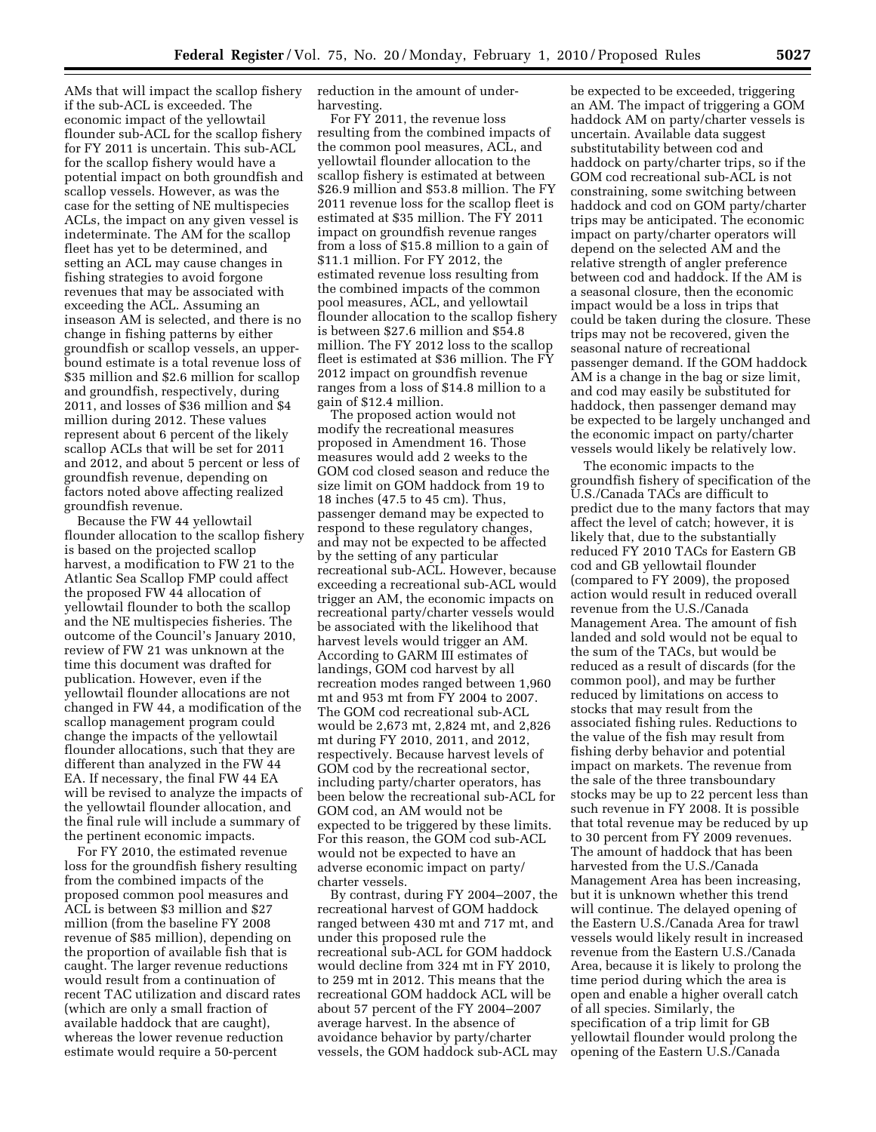AMs that will impact the scallop fishery if the sub-ACL is exceeded. The economic impact of the yellowtail flounder sub-ACL for the scallop fishery for FY 2011 is uncertain. This sub-ACL for the scallop fishery would have a potential impact on both groundfish and scallop vessels. However, as was the case for the setting of NE multispecies ACLs, the impact on any given vessel is indeterminate. The AM for the scallop fleet has yet to be determined, and setting an ACL may cause changes in fishing strategies to avoid forgone revenues that may be associated with exceeding the ACL. Assuming an inseason AM is selected, and there is no change in fishing patterns by either groundfish or scallop vessels, an upperbound estimate is a total revenue loss of \$35 million and \$2.6 million for scallop and groundfish, respectively, during 2011, and losses of \$36 million and \$4 million during 2012. These values represent about 6 percent of the likely scallop ACLs that will be set for 2011 and 2012, and about 5 percent or less of groundfish revenue, depending on factors noted above affecting realized groundfish revenue.

Because the FW 44 yellowtail flounder allocation to the scallop fishery is based on the projected scallop harvest, a modification to FW 21 to the Atlantic Sea Scallop FMP could affect the proposed FW 44 allocation of yellowtail flounder to both the scallop and the NE multispecies fisheries. The outcome of the Council's January 2010, review of FW 21 was unknown at the time this document was drafted for publication. However, even if the yellowtail flounder allocations are not changed in FW 44, a modification of the scallop management program could change the impacts of the yellowtail flounder allocations, such that they are different than analyzed in the FW 44 EA. If necessary, the final FW 44 EA will be revised to analyze the impacts of the yellowtail flounder allocation, and the final rule will include a summary of the pertinent economic impacts.

For FY 2010, the estimated revenue loss for the groundfish fishery resulting from the combined impacts of the proposed common pool measures and ACL is between \$3 million and \$27 million (from the baseline FY 2008 revenue of \$85 million), depending on the proportion of available fish that is caught. The larger revenue reductions would result from a continuation of recent TAC utilization and discard rates (which are only a small fraction of available haddock that are caught), whereas the lower revenue reduction estimate would require a 50-percent

reduction in the amount of underharvesting.

For FY 2011, the revenue loss resulting from the combined impacts of the common pool measures, ACL, and yellowtail flounder allocation to the scallop fishery is estimated at between \$26.9 million and \$53.8 million. The FY 2011 revenue loss for the scallop fleet is estimated at \$35 million. The FY 2011 impact on groundfish revenue ranges from a loss of \$15.8 million to a gain of \$11.1 million. For FY 2012, the estimated revenue loss resulting from the combined impacts of the common pool measures, ACL, and yellowtail flounder allocation to the scallop fishery is between \$27.6 million and \$54.8 million. The FY 2012 loss to the scallop fleet is estimated at \$36 million. The FY 2012 impact on groundfish revenue ranges from a loss of \$14.8 million to a gain of \$12.4 million.

The proposed action would not modify the recreational measures proposed in Amendment 16. Those measures would add 2 weeks to the GOM cod closed season and reduce the size limit on GOM haddock from 19 to 18 inches (47.5 to 45 cm). Thus, passenger demand may be expected to respond to these regulatory changes, and may not be expected to be affected by the setting of any particular recreational sub-ACL. However, because exceeding a recreational sub-ACL would trigger an AM, the economic impacts on recreational party/charter vessels would be associated with the likelihood that harvest levels would trigger an AM. According to GARM III estimates of landings, GOM cod harvest by all recreation modes ranged between 1,960 mt and 953 mt from FY 2004 to 2007. The GOM cod recreational sub-ACL would be 2,673 mt, 2,824 mt, and 2,826 mt during FY 2010, 2011, and 2012, respectively. Because harvest levels of GOM cod by the recreational sector, including party/charter operators, has been below the recreational sub-ACL for GOM cod, an AM would not be expected to be triggered by these limits. For this reason, the GOM cod sub-ACL would not be expected to have an adverse economic impact on party/ charter vessels.

By contrast, during FY 2004–2007, the recreational harvest of GOM haddock ranged between 430 mt and 717 mt, and under this proposed rule the recreational sub-ACL for GOM haddock would decline from 324 mt in FY 2010, to 259 mt in 2012. This means that the recreational GOM haddock ACL will be about 57 percent of the FY 2004–2007 average harvest. In the absence of avoidance behavior by party/charter vessels, the GOM haddock sub-ACL may

be expected to be exceeded, triggering an AM. The impact of triggering a GOM haddock AM on party/charter vessels is uncertain. Available data suggest substitutability between cod and haddock on party/charter trips, so if the GOM cod recreational sub-ACL is not constraining, some switching between haddock and cod on GOM party/charter trips may be anticipated. The economic impact on party/charter operators will depend on the selected AM and the relative strength of angler preference between cod and haddock. If the AM is a seasonal closure, then the economic impact would be a loss in trips that could be taken during the closure. These trips may not be recovered, given the seasonal nature of recreational passenger demand. If the GOM haddock AM is a change in the bag or size limit, and cod may easily be substituted for haddock, then passenger demand may be expected to be largely unchanged and the economic impact on party/charter vessels would likely be relatively low.

The economic impacts to the groundfish fishery of specification of the U.S./Canada TACs are difficult to predict due to the many factors that may affect the level of catch; however, it is likely that, due to the substantially reduced FY 2010 TACs for Eastern GB cod and GB yellowtail flounder (compared to FY 2009), the proposed action would result in reduced overall revenue from the U.S./Canada Management Area. The amount of fish landed and sold would not be equal to the sum of the TACs, but would be reduced as a result of discards (for the common pool), and may be further reduced by limitations on access to stocks that may result from the associated fishing rules. Reductions to the value of the fish may result from fishing derby behavior and potential impact on markets. The revenue from the sale of the three transboundary stocks may be up to 22 percent less than such revenue in FY 2008. It is possible that total revenue may be reduced by up to 30 percent from FY 2009 revenues. The amount of haddock that has been harvested from the U.S./Canada Management Area has been increasing, but it is unknown whether this trend will continue. The delayed opening of the Eastern U.S./Canada Area for trawl vessels would likely result in increased revenue from the Eastern U.S./Canada Area, because it is likely to prolong the time period during which the area is open and enable a higher overall catch of all species. Similarly, the specification of a trip limit for GB yellowtail flounder would prolong the opening of the Eastern U.S./Canada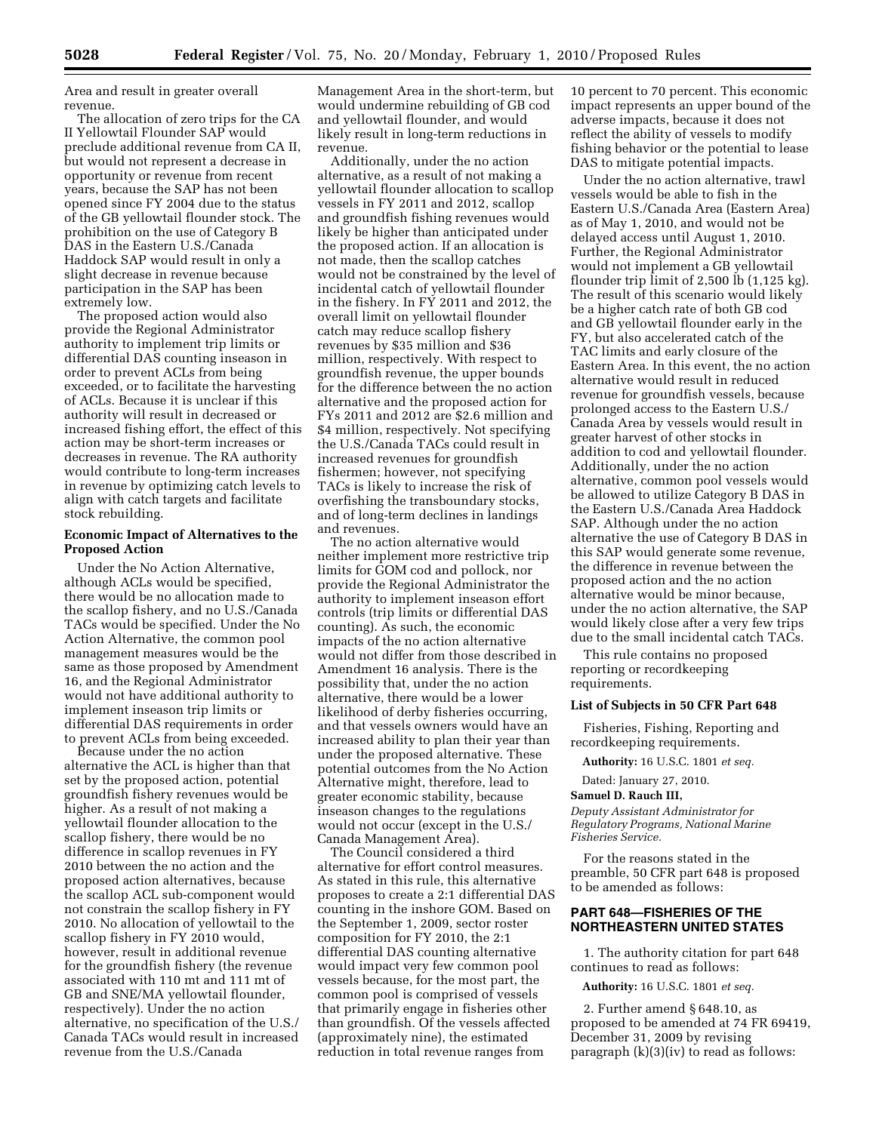Area and result in greater overall revenue.

The allocation of zero trips for the CA II Yellowtail Flounder SAP would preclude additional revenue from CA II, but would not represent a decrease in opportunity or revenue from recent years, because the SAP has not been opened since FY 2004 due to the status of the GB yellowtail flounder stock. The prohibition on the use of Category B DAS in the Eastern U.S./Canada Haddock SAP would result in only a slight decrease in revenue because participation in the SAP has been extremely low.

The proposed action would also provide the Regional Administrator authority to implement trip limits or differential DAS counting inseason in order to prevent ACLs from being exceeded, or to facilitate the harvesting of ACLs. Because it is unclear if this authority will result in decreased or increased fishing effort, the effect of this action may be short-term increases or decreases in revenue. The RA authority would contribute to long-term increases in revenue by optimizing catch levels to align with catch targets and facilitate stock rebuilding.

#### **Economic Impact of Alternatives to the Proposed Action**

Under the No Action Alternative, although ACLs would be specified, there would be no allocation made to the scallop fishery, and no U.S./Canada TACs would be specified. Under the No Action Alternative, the common pool management measures would be the same as those proposed by Amendment 16, and the Regional Administrator would not have additional authority to implement inseason trip limits or differential DAS requirements in order to prevent ACLs from being exceeded.

Because under the no action alternative the ACL is higher than that set by the proposed action, potential groundfish fishery revenues would be higher. As a result of not making a yellowtail flounder allocation to the scallop fishery, there would be no difference in scallop revenues in FY 2010 between the no action and the proposed action alternatives, because the scallop ACL sub-component would not constrain the scallop fishery in FY 2010. No allocation of yellowtail to the scallop fishery in FY 2010 would, however, result in additional revenue for the groundfish fishery (the revenue associated with 110 mt and 111 mt of GB and SNE/MA yellowtail flounder, respectively). Under the no action alternative, no specification of the U.S./ Canada TACs would result in increased revenue from the U.S./Canada

Management Area in the short-term, but would undermine rebuilding of GB cod and yellowtail flounder, and would likely result in long-term reductions in revenue.

Additionally, under the no action alternative, as a result of not making a yellowtail flounder allocation to scallop vessels in FY 2011 and 2012, scallop and groundfish fishing revenues would likely be higher than anticipated under the proposed action. If an allocation is not made, then the scallop catches would not be constrained by the level of incidental catch of yellowtail flounder in the fishery. In FY 2011 and 2012, the overall limit on yellowtail flounder catch may reduce scallop fishery revenues by \$35 million and \$36 million, respectively. With respect to groundfish revenue, the upper bounds for the difference between the no action alternative and the proposed action for FYs 2011 and 2012 are \$2.6 million and \$4 million, respectively. Not specifying the U.S./Canada TACs could result in increased revenues for groundfish fishermen; however, not specifying TACs is likely to increase the risk of overfishing the transboundary stocks, and of long-term declines in landings and revenues.

The no action alternative would neither implement more restrictive trip limits for GOM cod and pollock, nor provide the Regional Administrator the authority to implement inseason effort controls (trip limits or differential DAS counting). As such, the economic impacts of the no action alternative would not differ from those described in Amendment 16 analysis. There is the possibility that, under the no action alternative, there would be a lower likelihood of derby fisheries occurring, and that vessels owners would have an increased ability to plan their year than under the proposed alternative. These potential outcomes from the No Action Alternative might, therefore, lead to greater economic stability, because inseason changes to the regulations would not occur (except in the U.S./ Canada Management Area).

The Council considered a third alternative for effort control measures. As stated in this rule, this alternative proposes to create a 2:1 differential DAS counting in the inshore GOM. Based on the September 1, 2009, sector roster composition for FY 2010, the 2:1 differential DAS counting alternative would impact very few common pool vessels because, for the most part, the common pool is comprised of vessels that primarily engage in fisheries other than groundfish. Of the vessels affected (approximately nine), the estimated reduction in total revenue ranges from

10 percent to 70 percent. This economic impact represents an upper bound of the adverse impacts, because it does not reflect the ability of vessels to modify fishing behavior or the potential to lease DAS to mitigate potential impacts.

Under the no action alternative, trawl vessels would be able to fish in the Eastern U.S./Canada Area (Eastern Area) as of May 1, 2010, and would not be delayed access until August 1, 2010. Further, the Regional Administrator would not implement a GB yellowtail flounder trip limit of 2,500 lb (1,125 kg). The result of this scenario would likely be a higher catch rate of both GB cod and GB yellowtail flounder early in the FY, but also accelerated catch of the TAC limits and early closure of the Eastern Area. In this event, the no action alternative would result in reduced revenue for groundfish vessels, because prolonged access to the Eastern U.S./ Canada Area by vessels would result in greater harvest of other stocks in addition to cod and yellowtail flounder. Additionally, under the no action alternative, common pool vessels would be allowed to utilize Category B DAS in the Eastern U.S./Canada Area Haddock SAP. Although under the no action alternative the use of Category B DAS in this SAP would generate some revenue, the difference in revenue between the proposed action and the no action alternative would be minor because, under the no action alternative, the SAP would likely close after a very few trips due to the small incidental catch TACs.

This rule contains no proposed reporting or recordkeeping requirements.

#### **List of Subjects in 50 CFR Part 648**

Fisheries, Fishing, Reporting and recordkeeping requirements.

**Authority:** 16 U.S.C. 1801 *et seq.* 

Dated: January 27, 2010.

#### **Samuel D. Rauch III,**

*Deputy Assistant Administrator for Regulatory Programs, National Marine Fisheries Service.* 

For the reasons stated in the preamble, 50 CFR part 648 is proposed to be amended as follows:

## **PART 648—FISHERIES OF THE NORTHEASTERN UNITED STATES**

1. The authority citation for part 648 continues to read as follows:

**Authority:** 16 U.S.C. 1801 *et seq.* 

2. Further amend § 648.10, as proposed to be amended at 74 FR 69419, December 31, 2009 by revising paragraph (k)(3)(iv) to read as follows: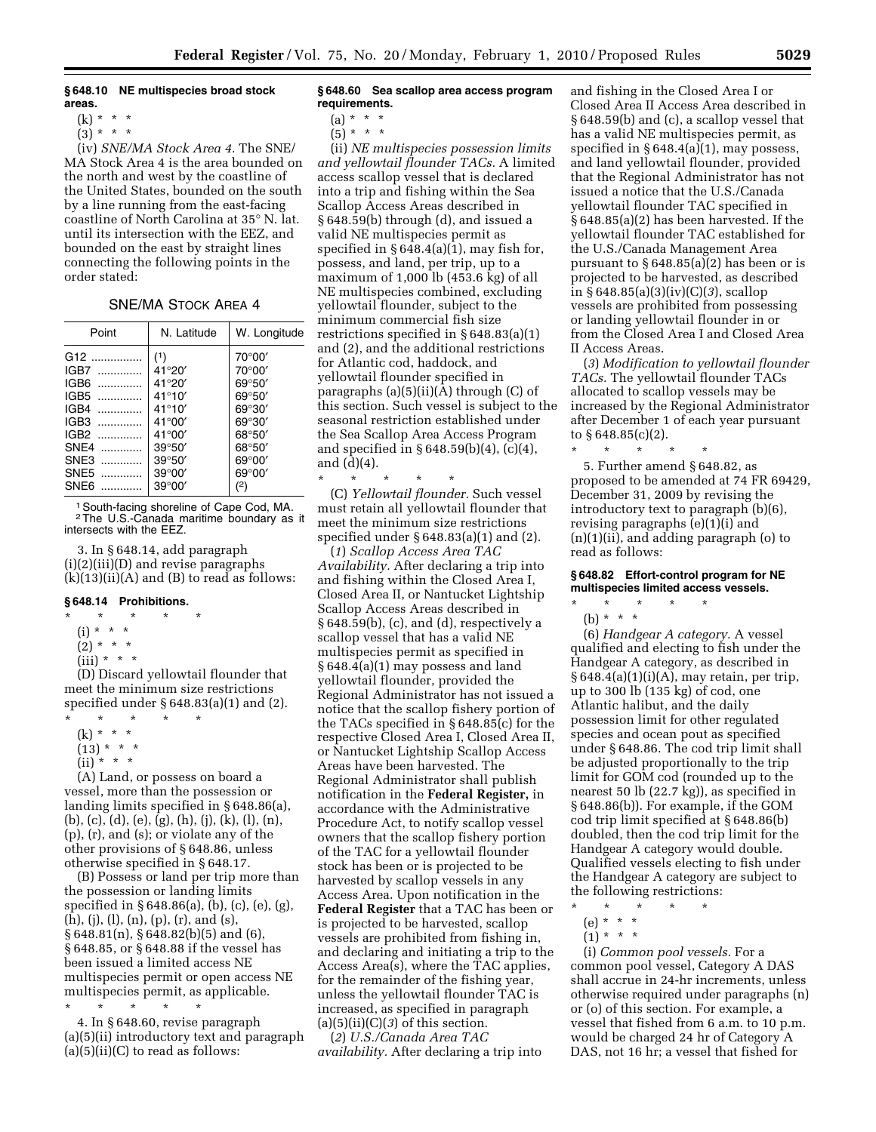#### **§ 648.10 NE multispecies broad stock areas.**

 $(3)^{*}$  \* \*

(iv) *SNE/MA Stock Area 4.* The SNE/ MA Stock Area 4 is the area bounded on the north and west by the coastline of the United States, bounded on the south by a line running from the east-facing coastline of North Carolina at 35° N. lat. until its intersection with the EEZ, and bounded on the east by straight lines connecting the following points in the order stated:

#### SNE/MA STOCK AREA 4

| Point            | N. Latitude     | W. Longitude    |
|------------------|-----------------|-----------------|
| G <sub>12</sub>  | (1)             | 70°00'          |
| IGB7<br>.        | 41°20'          | 70°00'          |
| IGB <sub>6</sub> | 41°20'          | $69^{\circ}50'$ |
| IGB5<br>.        | $41^{\circ}10'$ | 69°50'          |
| IGB4<br>.        | $41^{\circ}10'$ | 69°30'          |
| IGB3             | $41^{\circ}00'$ | 69°30'          |
| $IGB2$           | $41^{\circ}00'$ | 68°50'          |
| SNF4<br>.        | $39^{\circ}50'$ | 68°50'          |
| SNE3<br>.        | $39^{\circ}50'$ | $69^{\circ}00'$ |
| SNE5             | $39^{\circ}00'$ | $69^{\circ}00'$ |
| SNE6<br>.        | $39^{\circ}00'$ | (2)             |

1South-facing shoreline of Cape Cod, MA. 2The U.S.-Canada maritime boundary as it intersects with the EEZ.

3. In § 648.14, add paragraph (i)(2)(iii)(D) and revise paragraphs  $(k)(13)(ii)(A)$  and  $(B)$  to read as follows:

# **§ 648.14 Prohibitions.**

- \* \* \* \* \*
- $(i) * * * *$
- $(2) * * * *$
- $(iii) * * * *$

(D) Discard yellowtail flounder that meet the minimum size restrictions specified under § 648.83(a)(1) and (2).

- \* \* \* \* \*
	- (k) \* \* \*  $(13) * * * *$
	- $(ii) * * * *$
	-

(A) Land, or possess on board a vessel, more than the possession or landing limits specified in § 648.86(a), (b), (c), (d), (e), (g), (h), (j), (k), (l), (n), (p), (r), and (s); or violate any of the other provisions of § 648.86, unless otherwise specified in § 648.17.

(B) Possess or land per trip more than the possession or landing limits specified in § 648.86(a), (b), (c), (e), (g),  $(h)$ , (j), (l), (n), (p), (r), and (s), § 648.81(n), § 648.82(b)(5) and (6), § 648.85, or § 648.88 if the vessel has been issued a limited access NE multispecies permit or open access NE multispecies permit, as applicable.

\* \* \* \* \* 4. In § 648.60, revise paragraph

(a)(5)(ii) introductory text and paragraph  $(a)(5)(ii)(C)$  to read as follows:

#### **§ 648.60 Sea scallop area access program requirements.**

 $(a) * * * *$ 

 $(5) * * * *$ 

(ii) *NE multispecies possession limits and yellowtail flounder TACs.* A limited access scallop vessel that is declared into a trip and fishing within the Sea Scallop Access Areas described in § 648.59(b) through (d), and issued a valid NE multispecies permit as specified in  $\S 648.4(a)(1)$ , may fish for, possess, and land, per trip, up to a maximum of 1,000 lb (453.6 kg) of all NE multispecies combined, excluding yellowtail flounder, subject to the minimum commercial fish size restrictions specified in § 648.83(a)(1) and (2), and the additional restrictions for Atlantic cod, haddock, and yellowtail flounder specified in paragraphs  $(a)(5)(ii)(A)$  through  $(C)$  of this section. Such vessel is subject to the seasonal restriction established under the Sea Scallop Area Access Program and specified in § 648.59(b)(4), (c)(4), and (d)(4).

\* \* \* \* \* (C) *Yellowtail flounder.* Such vessel must retain all yellowtail flounder that meet the minimum size restrictions specified under § 648.83(a)(1) and (2).

(*1*) *Scallop Access Area TAC Availability.* After declaring a trip into and fishing within the Closed Area I, Closed Area II, or Nantucket Lightship Scallop Access Areas described in § 648.59(b), (c), and (d), respectively a scallop vessel that has a valid NE multispecies permit as specified in § 648.4(a)(1) may possess and land yellowtail flounder, provided the Regional Administrator has not issued a notice that the scallop fishery portion of the TACs specified in § 648.85(c) for the respective Closed Area I, Closed Area II, or Nantucket Lightship Scallop Access Areas have been harvested. The Regional Administrator shall publish notification in the **Federal Register,** in accordance with the Administrative Procedure Act, to notify scallop vessel owners that the scallop fishery portion of the TAC for a yellowtail flounder stock has been or is projected to be harvested by scallop vessels in any Access Area. Upon notification in the **Federal Register** that a TAC has been or is projected to be harvested, scallop vessels are prohibited from fishing in, and declaring and initiating a trip to the Access Area(s), where the TAC applies, for the remainder of the fishing year, unless the yellowtail flounder TAC is increased, as specified in paragraph  $(a)(5)(ii)(C)(3)$  of this section.

(*2*) *U.S./Canada Area TAC availability.* After declaring a trip into and fishing in the Closed Area I or Closed Area II Access Area described in § 648.59(b) and (c), a scallop vessel that has a valid NE multispecies permit, as specified in § 648.4(a)(1), may possess, and land yellowtail flounder, provided that the Regional Administrator has not issued a notice that the U.S./Canada yellowtail flounder TAC specified in § 648.85(a)(2) has been harvested. If the yellowtail flounder TAC established for the U.S./Canada Management Area pursuant to § 648.85(a)(2) has been or is projected to be harvested, as described in § 648.85(a)(3)(iv)(C)(*3*), scallop vessels are prohibited from possessing or landing yellowtail flounder in or from the Closed Area I and Closed Area II Access Areas.

(*3*) *Modification to yellowtail flounder TACs.* The yellowtail flounder TACs allocated to scallop vessels may be increased by the Regional Administrator after December 1 of each year pursuant to  $§ 648.85(c)(2)$ .

\* \* \* \* \* 5. Further amend § 648.82, as proposed to be amended at 74 FR 69429, December 31, 2009 by revising the introductory text to paragraph (b)(6), revising paragraphs (e)(1)(i) and (n)(1)(ii), and adding paragraph (o) to read as follows:

## **§ 648.82 Effort-control program for NE multispecies limited access vessels.**

\* \* \* \* \* (b) \* \* \*

(6) *Handgear A category.* A vessel qualified and electing to fish under the Handgear A category, as described in § 648.4(a)(1)(i)(A), may retain, per trip, up to 300 lb (135 kg) of cod, one Atlantic halibut, and the daily possession limit for other regulated species and ocean pout as specified under § 648.86. The cod trip limit shall be adjusted proportionally to the trip limit for GOM cod (rounded up to the nearest 50 lb (22.7 kg)), as specified in § 648.86(b)). For example, if the GOM cod trip limit specified at § 648.86(b) doubled, then the cod trip limit for the Handgear A category would double. Qualified vessels electing to fish under the Handgear A category are subject to the following restrictions:

- \* \* \* \* \*
- (e) \* \* \*
- $(1) * * * *$

(i) *Common pool vessels.* For a common pool vessel, Category A DAS shall accrue in 24-hr increments, unless otherwise required under paragraphs (n) or (o) of this section. For example, a vessel that fished from 6 a.m. to 10 p.m. would be charged 24 hr of Category A DAS, not 16 hr; a vessel that fished for

 $(k) * * * *$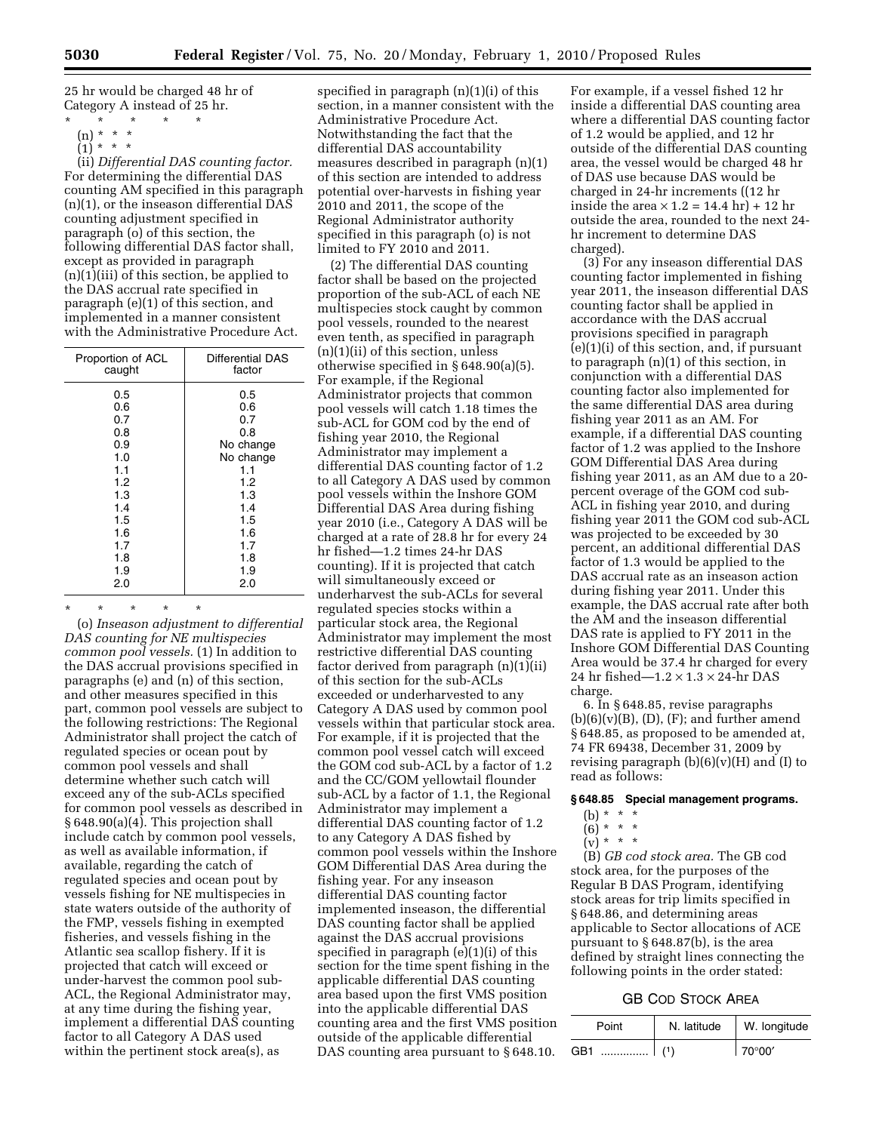25 hr would be charged 48 hr of Category A instead of 25 hr.

- \* \* \* \* \*
	- (n) \* \* \*  $(1)^*$  \* \* \*

(ii) *Differential DAS counting factor.*  For determining the differential DAS counting AM specified in this paragraph (n)(1), or the inseason differential DAS counting adjustment specified in paragraph (o) of this section, the following differential DAS factor shall, except as provided in paragraph (n)(1)(iii) of this section, be applied to the DAS accrual rate specified in paragraph (e)(1) of this section, and implemented in a manner consistent with the Administrative Procedure Act.

| Proportion of ACL | <b>Differential DAS</b> |
|-------------------|-------------------------|
| caught            | factor                  |
| 0.5               | 0.5                     |
| 0.6               | 0.6                     |
| 0.7               | 0.7                     |
| 0.8               | 0.8                     |
| 0.9               | No change               |
| 1.0               | No change               |
| 1.1               | 1.1                     |
| 1.2               | 1.2                     |
| 1.3               | 1.3                     |
| 1.4               | 1.4                     |
| 1.5               | 1.5                     |
| 1.6               | 1.6                     |
| 1.7               | 1.7                     |
| 1.8               | 1.8                     |
| 1.9               | 1.9                     |
| 2.0               | 2.0                     |

\* \* \* \* \* (o) *Inseason adjustment to differential* 

*DAS counting for NE multispecies common pool vessels.* (1) In addition to the DAS accrual provisions specified in paragraphs (e) and (n) of this section, and other measures specified in this part, common pool vessels are subject to the following restrictions: The Regional Administrator shall project the catch of regulated species or ocean pout by common pool vessels and shall determine whether such catch will exceed any of the sub-ACLs specified for common pool vessels as described in § 648.90(a)(4). This projection shall include catch by common pool vessels, as well as available information, if available, regarding the catch of regulated species and ocean pout by vessels fishing for NE multispecies in state waters outside of the authority of the FMP, vessels fishing in exempted fisheries, and vessels fishing in the Atlantic sea scallop fishery. If it is projected that catch will exceed or under-harvest the common pool sub-ACL, the Regional Administrator may, at any time during the fishing year, implement a differential DAS counting factor to all Category A DAS used within the pertinent stock area(s), as

specified in paragraph (n)(1)(i) of this section, in a manner consistent with the Administrative Procedure Act. Notwithstanding the fact that the differential DAS accountability measures described in paragraph (n)(1) of this section are intended to address potential over-harvests in fishing year 2010 and 2011, the scope of the Regional Administrator authority specified in this paragraph (o) is not limited to FY 2010 and 2011.

(2) The differential DAS counting factor shall be based on the projected proportion of the sub-ACL of each NE multispecies stock caught by common pool vessels, rounded to the nearest even tenth, as specified in paragraph (n)(1)(ii) of this section, unless otherwise specified in § 648.90(a)(5). For example, if the Regional Administrator projects that common pool vessels will catch 1.18 times the sub-ACL for GOM cod by the end of fishing year 2010, the Regional Administrator may implement a differential DAS counting factor of 1.2 to all Category A DAS used by common pool vessels within the Inshore GOM Differential DAS Area during fishing year 2010 (i.e., Category A DAS will be charged at a rate of 28.8 hr for every 24 hr fished—1.2 times 24-hr DAS counting). If it is projected that catch will simultaneously exceed or underharvest the sub-ACLs for several regulated species stocks within a particular stock area, the Regional Administrator may implement the most restrictive differential DAS counting factor derived from paragraph (n)(1)(ii) of this section for the sub-ACLs exceeded or underharvested to any Category A DAS used by common pool vessels within that particular stock area. For example, if it is projected that the common pool vessel catch will exceed the GOM cod sub-ACL by a factor of 1.2 and the CC/GOM yellowtail flounder sub-ACL by a factor of 1.1, the Regional Administrator may implement a differential DAS counting factor of 1.2 to any Category A DAS fished by common pool vessels within the Inshore GOM Differential DAS Area during the fishing year. For any inseason differential DAS counting factor implemented inseason, the differential DAS counting factor shall be applied against the DAS accrual provisions specified in paragraph (e)(1)(i) of this section for the time spent fishing in the applicable differential DAS counting area based upon the first VMS position into the applicable differential DAS counting area and the first VMS position outside of the applicable differential DAS counting area pursuant to §648.10.

For example, if a vessel fished 12 hr inside a differential DAS counting area where a differential DAS counting factor of 1.2 would be applied, and 12 hr outside of the differential DAS counting area, the vessel would be charged 48 hr of DAS use because DAS would be charged in 24-hr increments ((12 hr inside the area  $\times$  1.2 = 14.4 hr) + 12 hr outside the area, rounded to the next 24 hr increment to determine DAS charged).

(3) For any inseason differential DAS counting factor implemented in fishing year 2011, the inseason differential DAS counting factor shall be applied in accordance with the DAS accrual provisions specified in paragraph (e)(1)(i) of this section, and, if pursuant to paragraph (n)(1) of this section, in conjunction with a differential DAS counting factor also implemented for the same differential DAS area during fishing year 2011 as an AM. For example, if a differential DAS counting factor of 1.2 was applied to the Inshore GOM Differential DAS Area during fishing year 2011, as an AM due to a 20 percent overage of the GOM cod sub-ACL in fishing year 2010, and during fishing year 2011 the GOM cod sub-ACL was projected to be exceeded by 30 percent, an additional differential DAS factor of 1.3 would be applied to the DAS accrual rate as an inseason action during fishing year 2011. Under this example, the DAS accrual rate after both the AM and the inseason differential DAS rate is applied to FY 2011 in the Inshore GOM Differential DAS Counting Area would be 37.4 hr charged for every 24 hr fished—1.2 × 1.3 × 24-hr DAS charge.

6. In § 648.85, revise paragraphs  $(b)(6)(v)(B), (D), (F);$  and further amend § 648.85, as proposed to be amended at, 74 FR 69438, December 31, 2009 by revising paragraph  $(b)(6)(v)(H)$  and  $(I)$  to read as follows:

## **§ 648.85 Special management programs.**

# (b)  $* * * *$

- (6) \* \* \*
- $\int_{V} \int_{0}^{1} x^{2} x^{2} dx$

(B) *GB cod stock area.* The GB cod stock area, for the purposes of the Regular B DAS Program, identifying stock areas for trip limits specified in § 648.86, and determining areas applicable to Sector allocations of ACE pursuant to § 648.87(b), is the area defined by straight lines connecting the following points in the order stated:

## GB COD STOCK AREA

| Point   | N. latitude | W. longitude            |
|---------|-------------|-------------------------|
| GB1<br> |             | $\mid$ 70 $\degree$ 00' |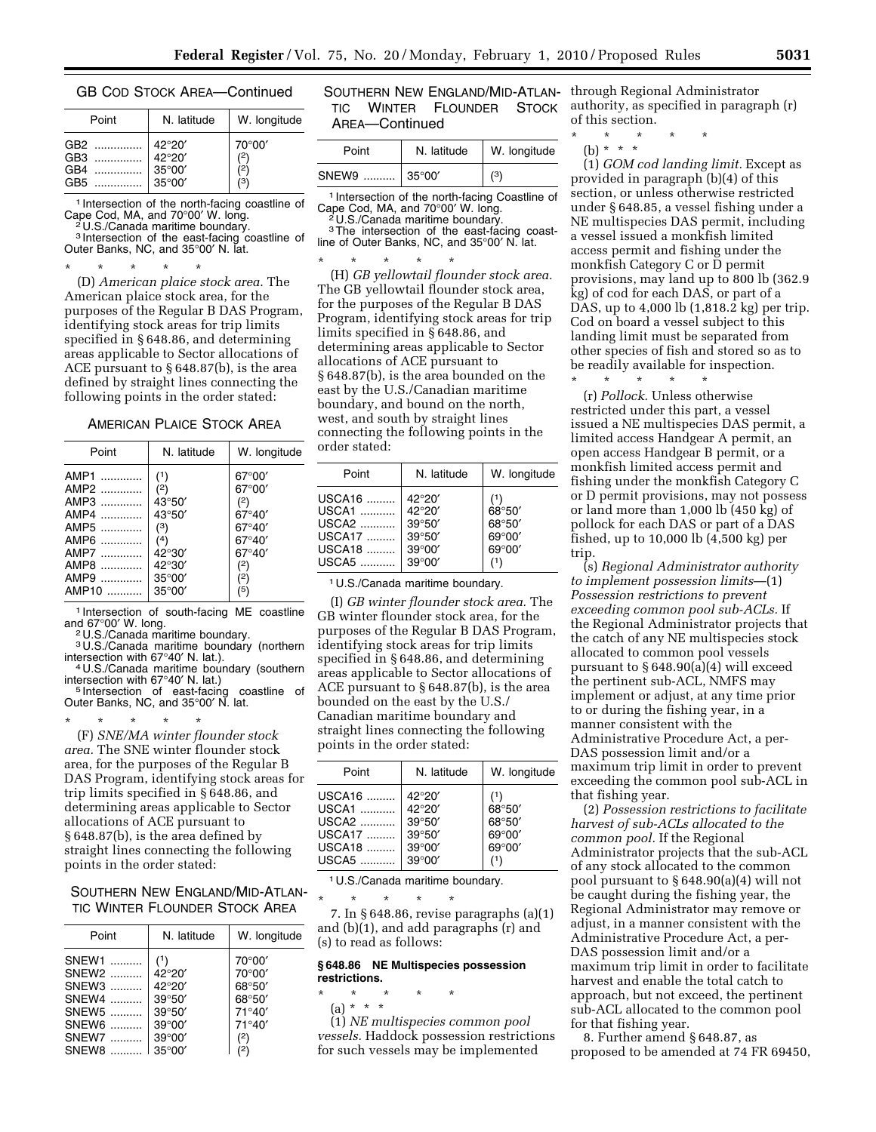#### GB COD STOCK AREA—Continued

| Point | N. latitude     | W. longitude |
|-------|-----------------|--------------|
| GB2   | 42°20'          | 70°00'       |
| GB3   | 42°20'          | (2)          |
| GB4   | 35°00'          | (2)          |
| GB5   | $35^{\circ}00'$ | (3)          |

1 Intersection of the north-facing coastline of Cape Cod, MA, and 70°00′ W. long. 2 U.S./Canada maritime boundary.

3 Intersection of the east-facing coastline of Outer Banks, NC, and 35°00′ N. lat.

\* \* \* \* \* (D) *American plaice stock area.* The American plaice stock area, for the purposes of the Regular B DAS Program, identifying stock areas for trip limits specified in § 648.86, and determining areas applicable to Sector allocations of ACE pursuant to § 648.87(b), is the area defined by straight lines connecting the following points in the order stated:

### AMERICAN PLAICE STOCK AREA

| Point | N. latitude     | W. longitude    |
|-------|-----------------|-----------------|
| AMP1  | (1)             | $67^{\circ}00'$ |
| AMP2  | (2)             | $67^{\circ}00'$ |
| AMP3  | $43^{\circ}50'$ | (2)             |
| AMP4  | $43^{\circ}50'$ | $67^{\circ}40'$ |
| AMP5  | (3)             | $67^{\circ}40'$ |
| AMP6  | (4)             | 67°40′          |
| AMP7  | $42^{\circ}30'$ | $67^{\circ}40'$ |
| AMP8  | $42^{\circ}30'$ | (2)             |
| AMP9  | $35^{\circ}00'$ | (2)             |
| AMP10 | $35^{\circ}00'$ | (5)             |

<sup>1</sup> Intersection of south-facing ME coastline<br>and 67°00' W. long.

<sup>2</sup>U.S./Canada maritime boundary.

 $3$  U.S./Canada maritime boundary (northern intersection with 67 $\degree$ 40' N. lat.).

<sup>4</sup> U.S./Canada maritime boundary (southern intersection with  $67^{\circ}40'$  N. lat.)

intersection with 67°40′ N. lat.) 5 Intersection of east-facing coastline of Outer Banks, NC, and 35°00′ N. lat.

\* \* \* \* \* (F) *SNE/MA winter flounder stock area.* The SNE winter flounder stock area, for the purposes of the Regular B DAS Program, identifying stock areas for trip limits specified in § 648.86, and determining areas applicable to Sector allocations of ACE pursuant to § 648.87(b), is the area defined by straight lines connecting the following points in the order stated:

SOUTHERN NEW ENGLAND/MID-ATLAN-TIC WINTER FLOUNDER STOCK AREA

| Point | N. latitude     | W. longitude    |
|-------|-----------------|-----------------|
| SNEW1 | (1)             | 70°00'          |
| SNEW2 | 42°20'          | 70°00'          |
| SNEW3 | 42°20'          | 68°50'          |
| SNEW4 | $39^{\circ}50'$ | 68°50'          |
| SNEW5 | $39^{\circ}50'$ | $71^{\circ}40'$ |
| SNEW6 | $39^{\circ}00'$ | 71°40'          |
| SNEW7 | $39^{\circ}00'$ | (2)             |
| SNEW8 | $35^{\circ}00'$ | (2)             |

|                | SOUTHERN NEW ENGLAND/MID-ATLAN- |  |
|----------------|---------------------------------|--|
|                | TIC WINTER FLOUNDER STOCK       |  |
| AREA—Continued |                                 |  |

| Point | N. latitude     | W. longitude |
|-------|-----------------|--------------|
| SNEW9 | $35^{\circ}00'$ | (3)          |

1 Intersection of the north-facing Coastline of Cape Cod, MA, and 70°00′ W. long. 2 U.S./Canada maritime boundary.

<sup>3</sup>The intersection of the east-facing coastline of Outer Banks, NC, and 35°00′ N. lat.

\* \* \* \* \* (H) *GB yellowtail flounder stock area.*  The GB yellowtail flounder stock area, for the purposes of the Regular B DAS Program, identifying stock areas for trip limits specified in § 648.86, and determining areas applicable to Sector allocations of ACE pursuant to § 648.87(b), is the area bounded on the east by the U.S./Canadian maritime boundary, and bound on the north, west, and south by straight lines connecting the following points in the order stated:

| Point                                        | N. latitude                                                               | W. longitude                                                           |
|----------------------------------------------|---------------------------------------------------------------------------|------------------------------------------------------------------------|
| USCA16<br>USCA1<br>USCA2<br>USCA17<br>USCA18 | 42°20'<br>42°20'<br>$39^{\circ}50'$<br>$39^{\circ}50'$<br>$39^{\circ}00'$ | (1)<br>$68^{\circ}50'$<br>68°50'<br>$69^{\circ}00'$<br>$69^{\circ}00'$ |
| USCA5                                        | $39^{\circ}00'$                                                           |                                                                        |

1 U.S./Canada maritime boundary.

(I) *GB winter flounder stock area.* The GB winter flounder stock area, for the purposes of the Regular B DAS Program, identifying stock areas for trip limits specified in § 648.86, and determining areas applicable to Sector allocations of ACE pursuant to § 648.87(b), is the area bounded on the east by the U.S./ Canadian maritime boundary and straight lines connecting the following points in the order stated:

| Point  | N. latitude     | W. longitude    |
|--------|-----------------|-----------------|
| USCA16 | 42°20'          | (1)             |
| USCA1  | 42°20'          | 68°50'          |
| USCA2  | $39^{\circ}50'$ | 68°50'          |
| USCA17 | $39^{\circ}50'$ | $69^{\circ}00'$ |
| USCA18 | $39^{\circ}00'$ | $69^{\circ}00'$ |
| USCA5  | $39^{\circ}00'$ | (1)             |

1 U.S./Canada maritime boundary.

\* \* \* \* \*

7. In § 648.86, revise paragraphs (a)(1) and (b)(1), and add paragraphs (r) and (s) to read as follows:

#### **§ 648.86 NE Multispecies possession restrictions.**

\* \* \* \* \*

(a) \* \* \* (1) *NE multispecies common pool vessels.* Haddock possession restrictions for such vessels may be implemented

through Regional Administrator authority, as specified in paragraph (r) of this section.

\* \* \* \* \*

(b) \* \* \*

(1) *GOM cod landing limit.* Except as provided in paragraph (b)(4) of this section, or unless otherwise restricted under § 648.85, a vessel fishing under a NE multispecies DAS permit, including a vessel issued a monkfish limited access permit and fishing under the monkfish Category C or D permit provisions, may land up to 800 lb (362.9 kg) of cod for each DAS, or part of a DAS, up to 4,000 lb (1,818.2 kg) per trip. Cod on board a vessel subject to this landing limit must be separated from other species of fish and stored so as to be readily available for inspection.

\* \* \* \* \* (r) *Pollock.* Unless otherwise restricted under this part, a vessel issued a NE multispecies DAS permit, a limited access Handgear A permit, an open access Handgear B permit, or a monkfish limited access permit and fishing under the monkfish Category C or D permit provisions, may not possess or land more than 1,000 lb (450 kg) of pollock for each DAS or part of a DAS fished, up to 10,000 lb (4,500 kg) per trip.

(s) *Regional Administrator authority to implement possession limits*—(1) *Possession restrictions to prevent exceeding common pool sub-ACLs.* If the Regional Administrator projects that the catch of any NE multispecies stock allocated to common pool vessels pursuant to § 648.90(a)(4) will exceed the pertinent sub-ACL, NMFS may implement or adjust, at any time prior to or during the fishing year, in a manner consistent with the Administrative Procedure Act, a per-DAS possession limit and/or a maximum trip limit in order to prevent exceeding the common pool sub-ACL in that fishing year.

(2) *Possession restrictions to facilitate harvest of sub-ACLs allocated to the common pool.* If the Regional Administrator projects that the sub-ACL of any stock allocated to the common pool pursuant to § 648.90(a)(4) will not be caught during the fishing year, the Regional Administrator may remove or adjust, in a manner consistent with the Administrative Procedure Act, a per-DAS possession limit and/or a maximum trip limit in order to facilitate harvest and enable the total catch to approach, but not exceed, the pertinent sub-ACL allocated to the common pool for that fishing year.

8. Further amend § 648.87, as proposed to be amended at 74 FR 69450,